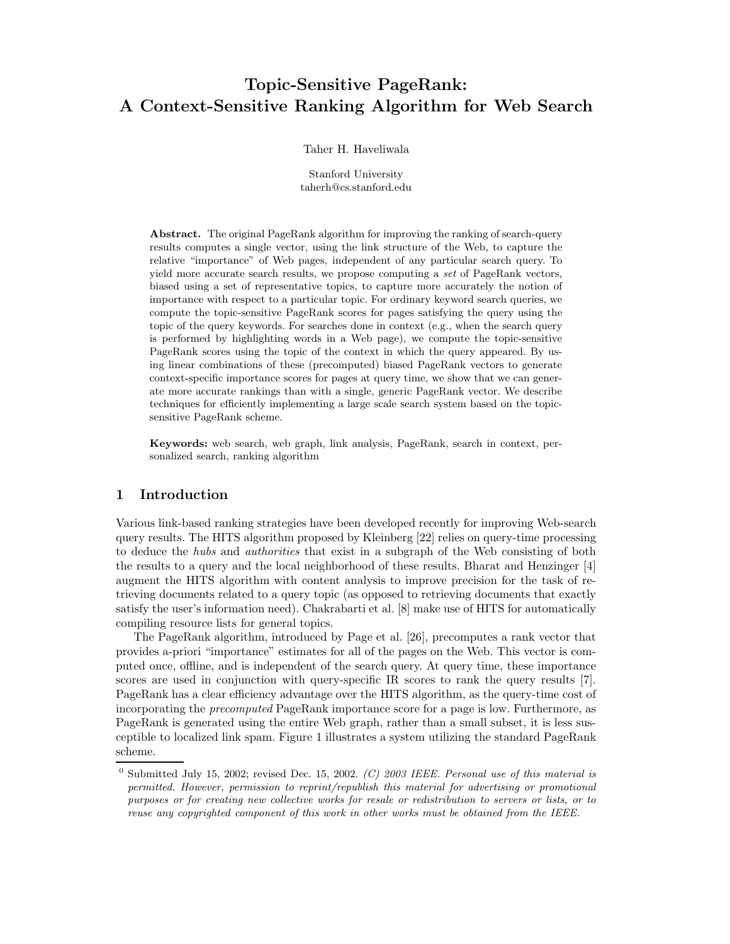# Topic-Sensitive PageRank: A Context-Sensitive Ranking Algorithm for Web Search

Taher H. Haveliwala

Stanford University taherh@cs.stanford.edu

Abstract. The original PageRank algorithm for improving the ranking of search-query results computes a single vector, using the link structure of the Web, to capture the relative "importance" of Web pages, independent of any particular search query. To yield more accurate search results, we propose computing a set of PageRank vectors, biased using a set of representative topics, to capture more accurately the notion of importance with respect to a particular topic. For ordinary keyword search queries, we compute the topic-sensitive PageRank scores for pages satisfying the query using the topic of the query keywords. For searches done in context (e.g., when the search query is performed by highlighting words in a Web page), we compute the topic-sensitive PageRank scores using the topic of the context in which the query appeared. By using linear combinations of these (precomputed) biased PageRank vectors to generate context-specific importance scores for pages at query time, we show that we can generate more accurate rankings than with a single, generic PageRank vector. We describe techniques for efficiently implementing a large scale search system based on the topicsensitive PageRank scheme.

Keywords: web search, web graph, link analysis, PageRank, search in context, personalized search, ranking algorithm

# 1 Introduction

Various link-based ranking strategies have been developed recently for improving Web-search query results. The HITS algorithm proposed by Kleinberg [22] relies on query-time processing to deduce the hubs and authorities that exist in a subgraph of the Web consisting of both the results to a query and the local neighborhood of these results. Bharat and Henzinger [4] augment the HITS algorithm with content analysis to improve precision for the task of retrieving documents related to a query topic (as opposed to retrieving documents that exactly satisfy the user's information need). Chakrabarti et al. [8] make use of HITS for automatically compiling resource lists for general topics.

The PageRank algorithm, introduced by Page et al. [26], precomputes a rank vector that provides a-priori "importance" estimates for all of the pages on the Web. This vector is computed once, offline, and is independent of the search query. At query time, these importance scores are used in conjunction with query-specific IR scores to rank the query results [7]. PageRank has a clear efficiency advantage over the HITS algorithm, as the query-time cost of incorporating the precomputed PageRank importance score for a page is low. Furthermore, as PageRank is generated using the entire Web graph, rather than a small subset, it is less susceptible to localized link spam. Figure 1 illustrates a system utilizing the standard PageRank scheme.

 $^0$  Submitted July 15, 2002; revised Dec. 15, 2002. (C) 2003 IEEE. Personal use of this material is permitted. However, permission to reprint/republish this material for advertising or promotional purposes or for creating new collective works for resale or redistribution to servers or lists, or to reuse any copyrighted component of this work in other works must be obtained from the IEEE.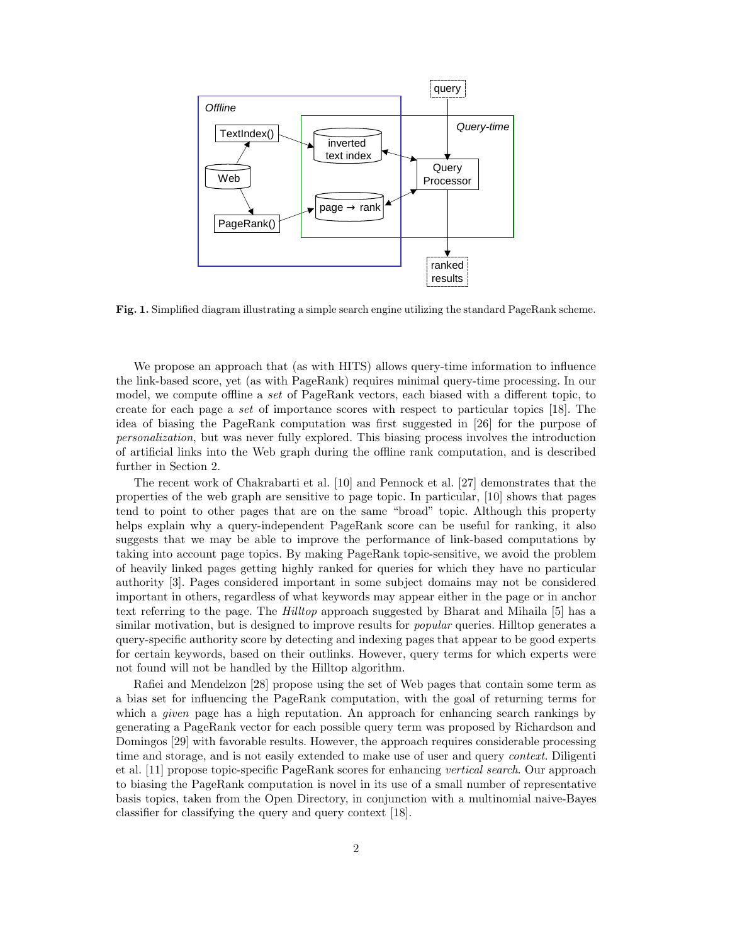

Fig. 1. Simplified diagram illustrating a simple search engine utilizing the standard PageRank scheme.

We propose an approach that (as with HITS) allows query-time information to influence the link-based score, yet (as with PageRank) requires minimal query-time processing. In our model, we compute offline a set of PageRank vectors, each biased with a different topic, to create for each page a set of importance scores with respect to particular topics [18]. The idea of biasing the PageRank computation was first suggested in [26] for the purpose of personalization, but was never fully explored. This biasing process involves the introduction of artificial links into the Web graph during the offline rank computation, and is described further in Section 2.

The recent work of Chakrabarti et al. [10] and Pennock et al. [27] demonstrates that the properties of the web graph are sensitive to page topic. In particular, [10] shows that pages tend to point to other pages that are on the same "broad" topic. Although this property helps explain why a query-independent PageRank score can be useful for ranking, it also suggests that we may be able to improve the performance of link-based computations by taking into account page topics. By making PageRank topic-sensitive, we avoid the problem of heavily linked pages getting highly ranked for queries for which they have no particular authority [3]. Pages considered important in some subject domains may not be considered important in others, regardless of what keywords may appear either in the page or in anchor text referring to the page. The Hilltop approach suggested by Bharat and Mihaila [5] has a similar motivation, but is designed to improve results for *popular* queries. Hilltop generates a query-specific authority score by detecting and indexing pages that appear to be good experts for certain keywords, based on their outlinks. However, query terms for which experts were not found will not be handled by the Hilltop algorithm.

Rafiei and Mendelzon [28] propose using the set of Web pages that contain some term as a bias set for influencing the PageRank computation, with the goal of returning terms for which a *given* page has a high reputation. An approach for enhancing search rankings by generating a PageRank vector for each possible query term was proposed by Richardson and Domingos [29] with favorable results. However, the approach requires considerable processing time and storage, and is not easily extended to make use of user and query *context*. Diligenti et al. [11] propose topic-specific PageRank scores for enhancing vertical search. Our approach to biasing the PageRank computation is novel in its use of a small number of representative basis topics, taken from the Open Directory, in conjunction with a multinomial naive-Bayes classifier for classifying the query and query context [18].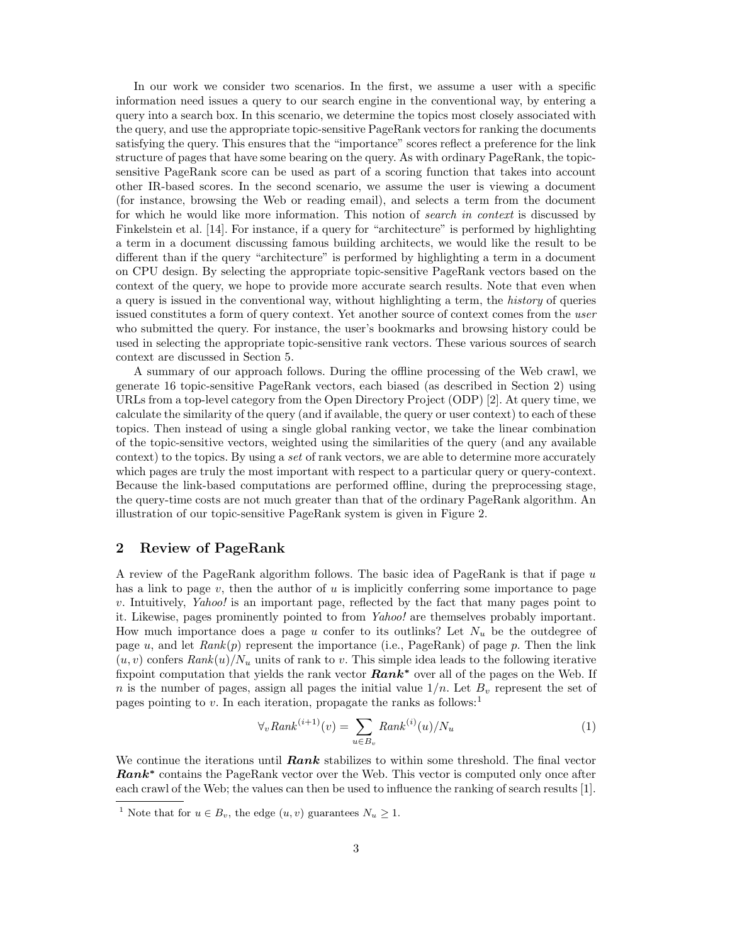In our work we consider two scenarios. In the first, we assume a user with a specific information need issues a query to our search engine in the conventional way, by entering a query into a search box. In this scenario, we determine the topics most closely associated with the query, and use the appropriate topic-sensitive PageRank vectors for ranking the documents satisfying the query. This ensures that the "importance" scores reflect a preference for the link structure of pages that have some bearing on the query. As with ordinary PageRank, the topicsensitive PageRank score can be used as part of a scoring function that takes into account other IR-based scores. In the second scenario, we assume the user is viewing a document (for instance, browsing the Web or reading email), and selects a term from the document for which he would like more information. This notion of *search in context* is discussed by Finkelstein et al. [14]. For instance, if a query for "architecture" is performed by highlighting a term in a document discussing famous building architects, we would like the result to be different than if the query "architecture" is performed by highlighting a term in a document on CPU design. By selecting the appropriate topic-sensitive PageRank vectors based on the context of the query, we hope to provide more accurate search results. Note that even when a query is issued in the conventional way, without highlighting a term, the history of queries issued constitutes a form of query context. Yet another source of context comes from the user who submitted the query. For instance, the user's bookmarks and browsing history could be used in selecting the appropriate topic-sensitive rank vectors. These various sources of search context are discussed in Section 5.

A summary of our approach follows. During the offline processing of the Web crawl, we generate 16 topic-sensitive PageRank vectors, each biased (as described in Section 2) using URLs from a top-level category from the Open Directory Project (ODP) [2]. At query time, we calculate the similarity of the query (and if available, the query or user context) to each of these topics. Then instead of using a single global ranking vector, we take the linear combination of the topic-sensitive vectors, weighted using the similarities of the query (and any available context) to the topics. By using a set of rank vectors, we are able to determine more accurately which pages are truly the most important with respect to a particular query or query-context. Because the link-based computations are performed offline, during the preprocessing stage, the query-time costs are not much greater than that of the ordinary PageRank algorithm. An illustration of our topic-sensitive PageRank system is given in Figure 2.

## 2 Review of PageRank

A review of the PageRank algorithm follows. The basic idea of PageRank is that if page  $u$ has a link to page  $v$ , then the author of  $u$  is implicitly conferring some importance to page v. Intuitively, Yahoo! is an important page, reflected by the fact that many pages point to it. Likewise, pages prominently pointed to from Yahoo! are themselves probably important. How much importance does a page u confer to its outlinks? Let  $N_u$  be the outdegree of page u, and let  $Rank(p)$  represent the importance (i.e., PageRank) of page p. Then the link  $(u, v)$  confers  $Rank(u)/N_u$  units of rank to v. This simple idea leads to the following iterative fixpoint computation that yields the rank vector  $Rank^*$  over all of the pages on the Web. If n is the number of pages, assign all pages the initial value  $1/n$ . Let  $B_v$  represent the set of pages pointing to v. In each iteration, propagate the ranks as follows:<sup>1</sup>

$$
\forall_{v} Rank^{(i+1)}(v) = \sum_{u \in B_v} Rank^{(i)}(u) / N_u
$$
\n(1)

We continue the iterations until  $Rank$  stabilizes to within some threshold. The final vector Rank<sup>\*</sup> contains the PageRank vector over the Web. This vector is computed only once after each crawl of the Web; the values can then be used to influence the ranking of search results [1].

<sup>&</sup>lt;sup>1</sup> Note that for  $u \in B_v$ , the edge  $(u, v)$  guarantees  $N_u \geq 1$ .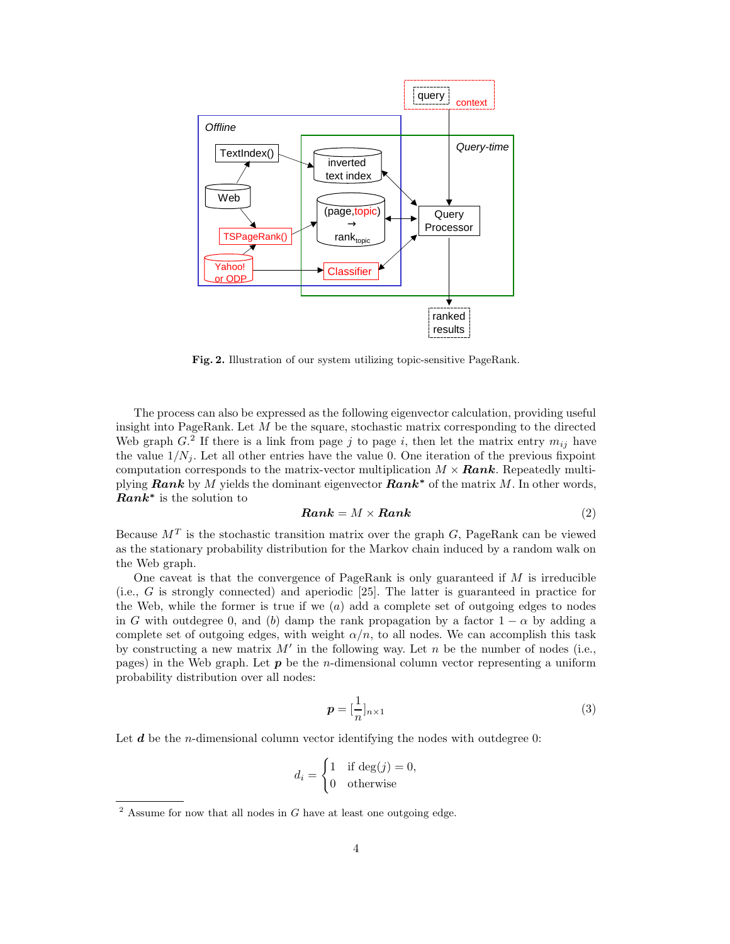

Fig. 2. Illustration of our system utilizing topic-sensitive PageRank.

The process can also be expressed as the following eigenvector calculation, providing useful insight into PageRank. Let M be the square, stochastic matrix corresponding to the directed Web graph  $G<sup>2</sup>$  If there is a link from page j to page i, then let the matrix entry  $m_{ij}$  have the value  $1/N<sub>i</sub>$ . Let all other entries have the value 0. One iteration of the previous fixpoint computation corresponds to the matrix-vector multiplication  $M \times Rank$ . Repeatedly multiplying Rank by M yields the dominant eigenvector  $\mathbf{Rank}^*$  of the matrix M. In other words,  $Rank^*$  is the solution to

$$
Rank = M \times Rank \tag{2}
$$

Because  $M<sup>T</sup>$  is the stochastic transition matrix over the graph G, PageRank can be viewed as the stationary probability distribution for the Markov chain induced by a random walk on the Web graph.

One caveat is that the convergence of PageRank is only guaranteed if  $M$  is irreducible (i.e., G is strongly connected) and aperiodic [25]. The latter is guaranteed in practice for the Web, while the former is true if we  $(a)$  add a complete set of outgoing edges to nodes in G with outdegree 0, and (b) damp the rank propagation by a factor  $1 - \alpha$  by adding a complete set of outgoing edges, with weight  $\alpha/n$ , to all nodes. We can accomplish this task by constructing a new matrix  $M'$  in the following way. Let n be the number of nodes (i.e., pages) in the Web graph. Let  $p$  be the *n*-dimensional column vector representing a uniform probability distribution over all nodes:

$$
\boldsymbol{p} = [\frac{1}{n}]_{n \times 1} \tag{3}
$$

Let  $d$  be the *n*-dimensional column vector identifying the nodes with outdegree 0:

$$
d_i = \begin{cases} 1 & \text{if } \deg(j) = 0, \\ 0 & \text{otherwise} \end{cases}
$$

 $2$  Assume for now that all nodes in G have at least one outgoing edge.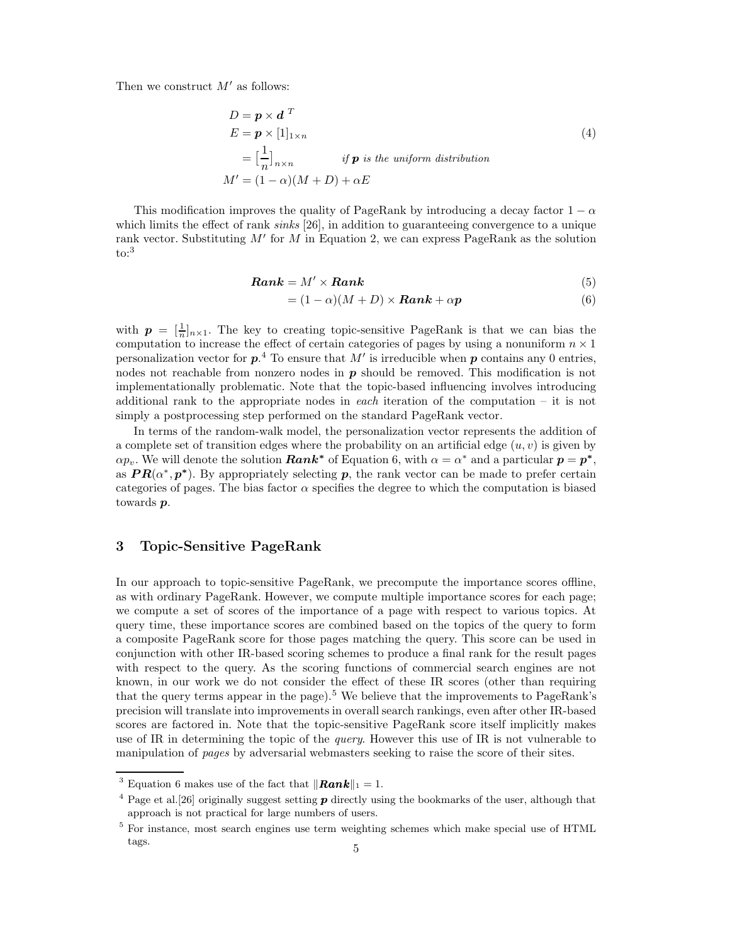Then we construct  $M'$  as follows:

$$
D = \mathbf{p} \times \mathbf{d}^{T}
$$
  
\n
$$
E = \mathbf{p} \times [1]_{1 \times n}
$$
  
\n
$$
= \left[\frac{1}{n}\right]_{n \times n} \quad \text{if } \mathbf{p} \text{ is the uniform distribution}
$$
  
\n
$$
M' = (1 - \alpha)(M + D) + \alpha E
$$
\n(4)

This modification improves the quality of PageRank by introducing a decay factor  $1 - \alpha$ which limits the effect of rank sinks [26], in addition to guaranteeing convergence to a unique rank vector. Substituting  $M'$  for M in Equation 2, we can express PageRank as the solution  $\mathrm{to:}^3$ 

$$
Rank = M' \times Rank \tag{5}
$$

$$
= (1 - \alpha)(M + D) \times \mathbf{Rank} + \alpha p \tag{6}
$$

with  $p = \left[\frac{1}{n}\right]_{n \times 1}$ . The key to creating topic-sensitive PageRank is that we can bias the computation to increase the effect of certain categories of pages by using a nonuniform  $n \times 1$ personalization vector for  $p^{4}$ . To ensure that M' is irreducible when p contains any 0 entries, nodes not reachable from nonzero nodes in  $p$  should be removed. This modification is not implementationally problematic. Note that the topic-based influencing involves introducing additional rank to the appropriate nodes in each iteration of the computation – it is not simply a postprocessing step performed on the standard PageRank vector.

In terms of the random-walk model, the personalization vector represents the addition of a complete set of transition edges where the probability on an artificial edge  $(u, v)$  is given by  $\alpha p_v$ . We will denote the solution **Rank<sup>\*</sup>** of Equation 6, with  $\alpha = \alpha^*$  and a particular  $p = p^*$ , as  $PR(\alpha^*, p^*)$ . By appropriately selecting p, the rank vector can be made to prefer certain categories of pages. The bias factor  $\alpha$  specifies the degree to which the computation is biased towards p.

# 3 Topic-Sensitive PageRank

In our approach to topic-sensitive PageRank, we precompute the importance scores offline, as with ordinary PageRank. However, we compute multiple importance scores for each page; we compute a set of scores of the importance of a page with respect to various topics. At query time, these importance scores are combined based on the topics of the query to form a composite PageRank score for those pages matching the query. This score can be used in conjunction with other IR-based scoring schemes to produce a final rank for the result pages with respect to the query. As the scoring functions of commercial search engines are not known, in our work we do not consider the effect of these IR scores (other than requiring that the query terms appear in the page).<sup>5</sup> We believe that the improvements to PageRank's precision will translate into improvements in overall search rankings, even after other IR-based scores are factored in. Note that the topic-sensitive PageRank score itself implicitly makes use of IR in determining the topic of the *query*. However this use of IR is not vulnerable to manipulation of pages by adversarial webmasters seeking to raise the score of their sites.

<sup>&</sup>lt;sup>3</sup> Equation 6 makes use of the fact that  $\|\mathbf{Rank}\|_1 = 1$ .

<sup>&</sup>lt;sup>4</sup> Page et al. [26] originally suggest setting  $p$  directly using the bookmarks of the user, although that approach is not practical for large numbers of users.

<sup>5</sup> For instance, most search engines use term weighting schemes which make special use of HTML tags. 5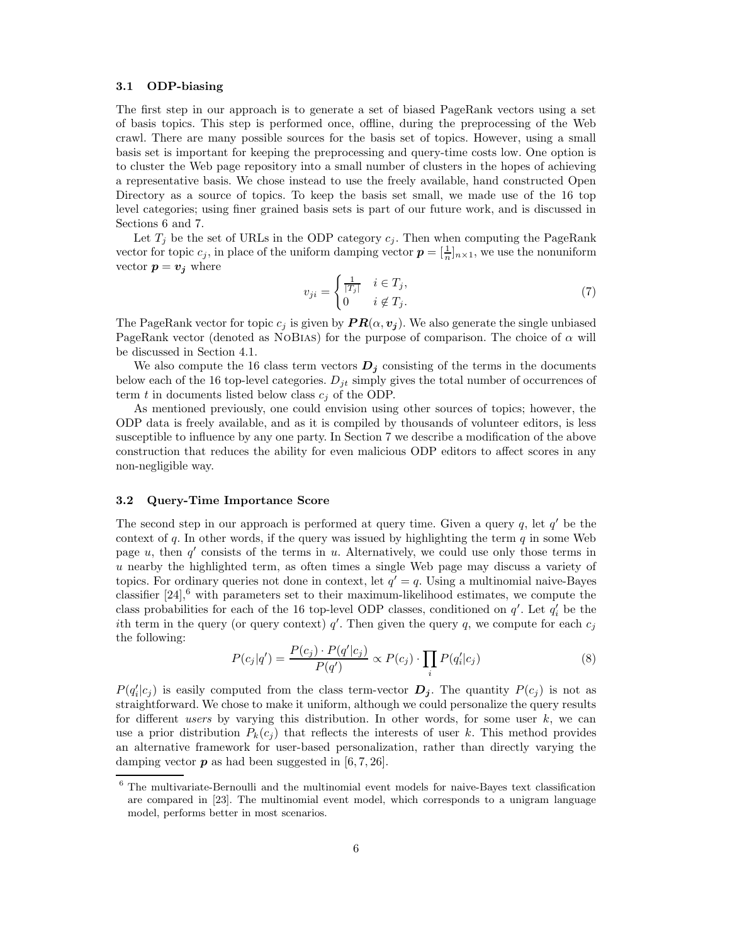#### 3.1 ODP-biasing

The first step in our approach is to generate a set of biased PageRank vectors using a set of basis topics. This step is performed once, offline, during the preprocessing of the Web crawl. There are many possible sources for the basis set of topics. However, using a small basis set is important for keeping the preprocessing and query-time costs low. One option is to cluster the Web page repository into a small number of clusters in the hopes of achieving a representative basis. We chose instead to use the freely available, hand constructed Open Directory as a source of topics. To keep the basis set small, we made use of the 16 top level categories; using finer grained basis sets is part of our future work, and is discussed in Sections 6 and 7.

Let  $T_i$  be the set of URLs in the ODP category  $c_i$ . Then when computing the PageRank vector for topic  $c_j$ , in place of the uniform damping vector  $p = \left[\frac{1}{n}\right]_{n \times 1}$ , we use the nonuniform vector  $p = v_j$  where

$$
v_{ji} = \begin{cases} \frac{1}{|T_j|} & i \in T_j, \\ 0 & i \notin T_j. \end{cases} \tag{7}
$$

The PageRank vector for topic  $c_i$  is given by  $PR(\alpha, v_i)$ . We also generate the single unbiased PageRank vector (denoted as NOBIAS) for the purpose of comparison. The choice of  $\alpha$  will be discussed in Section 4.1.

We also compute the 16 class term vectors  $D_j$  consisting of the terms in the documents below each of the 16 top-level categories.  $D_{jt}$  simply gives the total number of occurrences of term t in documents listed below class  $c_i$  of the ODP.

As mentioned previously, one could envision using other sources of topics; however, the ODP data is freely available, and as it is compiled by thousands of volunteer editors, is less susceptible to influence by any one party. In Section 7 we describe a modification of the above construction that reduces the ability for even malicious ODP editors to affect scores in any non-negligible way.

#### 3.2 Query-Time Importance Score

The second step in our approach is performed at query time. Given a query  $q$ , let  $q'$  be the context of  $q$ . In other words, if the query was issued by highlighting the term  $q$  in some Web page  $u$ , then  $q'$  consists of the terms in  $u$ . Alternatively, we could use only those terms in u nearby the highlighted term, as often times a single Web page may discuss a variety of topics. For ordinary queries not done in context, let  $q' = q$ . Using a multinomial naive-Bayes classifier  $[24]$ , with parameters set to their maximum-likelihood estimates, we compute the class probabilities for each of the 16 top-level ODP classes, conditioned on  $q'$ . Let  $q'_i$  be the ith term in the query (or query context)  $q'$ . Then given the query q, we compute for each  $c_j$ the following:

$$
P(c_j|q') = \frac{P(c_j) \cdot P(q'|c_j)}{P(q')} \propto P(c_j) \cdot \prod_i P(q'_i|c_j)
$$
\n
$$
(8)
$$

 $P(q'_i|c_j)$  is easily computed from the class term-vector  $D_j$ . The quantity  $P(c_j)$  is not as straightforward. We chose to make it uniform, although we could personalize the query results for different users by varying this distribution. In other words, for some user  $k$ , we can use a prior distribution  $P_k(c_i)$  that reflects the interests of user k. This method provides an alternative framework for user-based personalization, rather than directly varying the damping vector  $p$  as had been suggested in [6, 7, 26].

 $6$  The multivariate-Bernoulli and the multinomial event models for naive-Bayes text classification are compared in [23]. The multinomial event model, which corresponds to a unigram language model, performs better in most scenarios.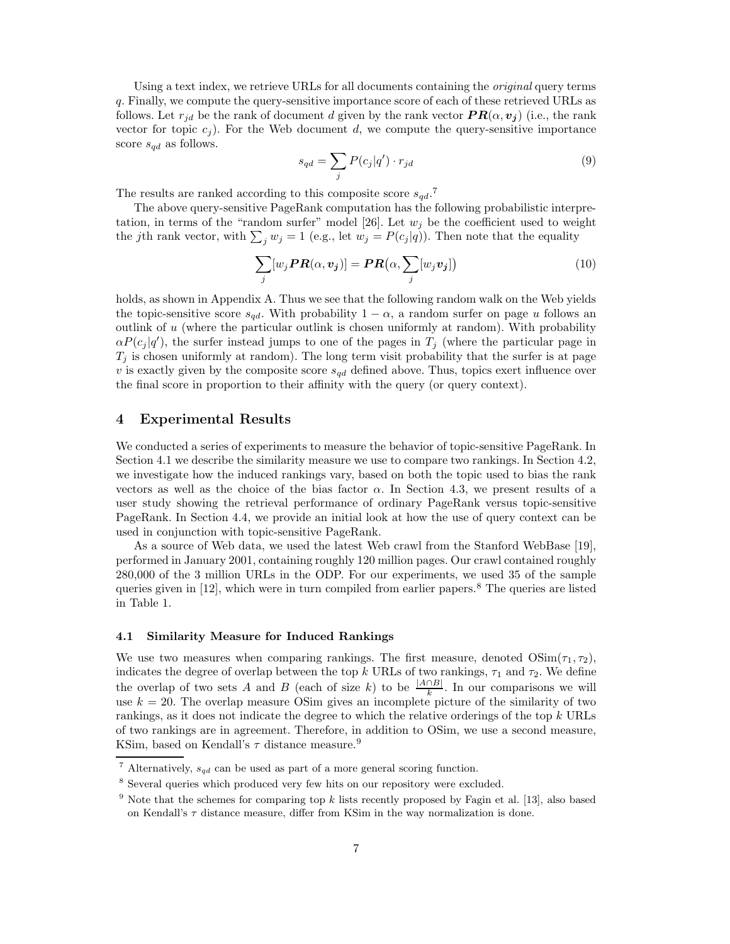Using a text index, we retrieve URLs for all documents containing the *original* query terms q. Finally, we compute the query-sensitive importance score of each of these retrieved URLs as follows. Let  $r_{id}$  be the rank of document d given by the rank vector  $\mathbf{PR}(\alpha, v_i)$  (i.e., the rank vector for topic  $c_j$ ). For the Web document d, we compute the query-sensitive importance score  $s_{qd}$  as follows.

$$
s_{qd} = \sum_{j} P(c_j|q') \cdot r_{jd} \tag{9}
$$

The results are ranked according to this composite score  $s_{qd}$ .<sup>7</sup>

The above query-sensitive PageRank computation has the following probabilistic interpretation, in terms of the "random surfer" model [26]. Let  $w_j$  be the coefficient used to weight the jth rank vector, with  $\sum_j w_j = 1$  (e.g., let  $w_j = P(c_j | q)$ ). Then note that the equality

$$
\sum_{j} [w_j \mathbf{PR}(\alpha, v_j)] = \mathbf{PR}(\alpha, \sum_{j} [w_j v_j]) \tag{10}
$$

holds, as shown in Appendix A. Thus we see that the following random walk on the Web yields the topic-sensitive score  $s_{qd}$ . With probability  $1 - \alpha$ , a random surfer on page u follows an outlink of u (where the particular outlink is chosen uniformly at random). With probability  $\alpha P(c_j | q')$ , the surfer instead jumps to one of the pages in  $T_j$  (where the particular page in  $T_j$  is chosen uniformly at random). The long term visit probability that the surfer is at page v is exactly given by the composite score  $s_{qd}$  defined above. Thus, topics exert influence over the final score in proportion to their affinity with the query (or query context).

# 4 Experimental Results

We conducted a series of experiments to measure the behavior of topic-sensitive PageRank. In Section 4.1 we describe the similarity measure we use to compare two rankings. In Section 4.2, we investigate how the induced rankings vary, based on both the topic used to bias the rank vectors as well as the choice of the bias factor  $\alpha$ . In Section 4.3, we present results of a user study showing the retrieval performance of ordinary PageRank versus topic-sensitive PageRank. In Section 4.4, we provide an initial look at how the use of query context can be used in conjunction with topic-sensitive PageRank.

As a source of Web data, we used the latest Web crawl from the Stanford WebBase [19], performed in January 2001, containing roughly 120 million pages. Our crawl contained roughly 280,000 of the 3 million URLs in the ODP. For our experiments, we used 35 of the sample queries given in [12], which were in turn compiled from earlier papers.<sup>8</sup> The queries are listed in Table 1.

### 4.1 Similarity Measure for Induced Rankings

We use two measures when comparing rankings. The first measure, denoted  $OSim(\tau_1, \tau_2)$ , indicates the degree of overlap between the top k URLs of two rankings,  $\tau_1$  and  $\tau_2$ . We define the overlap of two sets A and B (each of size k) to be  $\frac{|A \cap B|}{k}$  $\frac{|B|}{k}$ . In our comparisons we will use  $k = 20$ . The overlap measure OSim gives an incomplete picture of the similarity of two rankings, as it does not indicate the degree to which the relative orderings of the top k URLs of two rankings are in agreement. Therefore, in addition to OSim, we use a second measure, KSim, based on Kendall's  $\tau$  distance measure.<sup>9</sup>

 $^7$  Alternatively,  $\sqrt{s_{qd}}$  can be used as part of a more general scoring function.

<sup>8</sup> Several queries which produced very few hits on our repository were excluded.

<sup>&</sup>lt;sup>9</sup> Note that the schemes for comparing top k lists recently proposed by Fagin et al. [13], also based on Kendall's  $\tau$  distance measure, differ from KSim in the way normalization is done.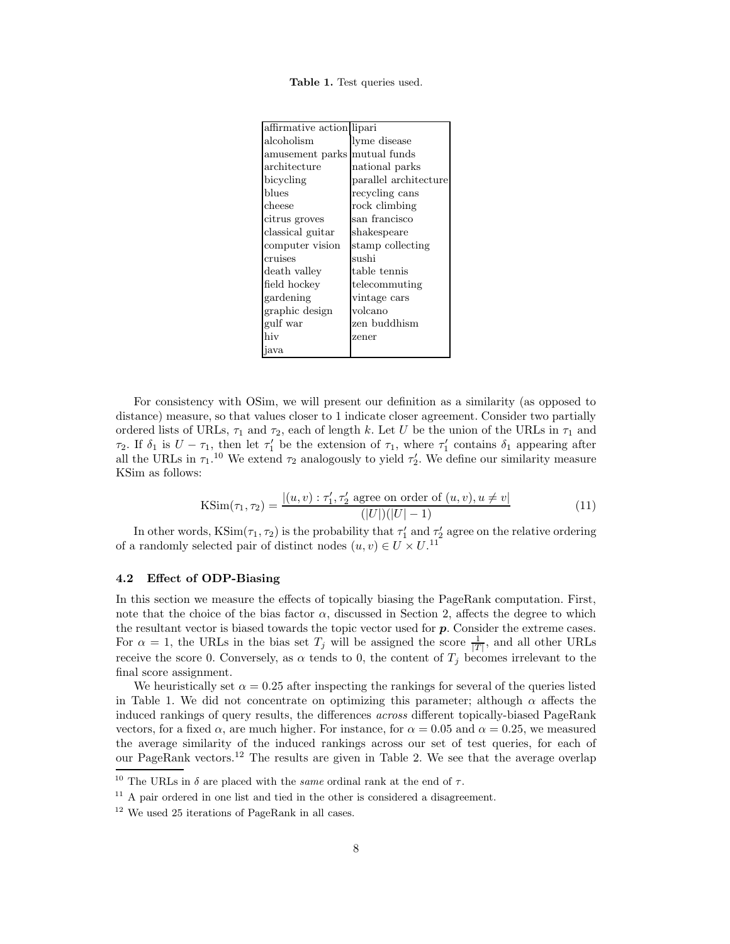Table 1. Test queries used.

| affirmative action lipari |                       |
|---------------------------|-----------------------|
| alcoholism                | lyme disease          |
| amusement parks           | mutual funds          |
| architecture              | national parks        |
| bicycling                 | parallel architecture |
| blues                     | recycling cans        |
| cheese                    | rock climbing         |
| citrus groves             | san francisco         |
| classical guitar          | shakespeare           |
| computer vision           | stamp collecting      |
| cruises                   | sushi                 |
| death valley              | table tennis          |
| field hockey              | telecommuting         |
| gardening                 | vintage cars          |
| graphic design            | volcano               |
| gulf war                  | zen buddhism          |
| hiv                       | zener                 |
| 1ava                      |                       |

For consistency with OSim, we will present our definition as a similarity (as opposed to distance) measure, so that values closer to 1 indicate closer agreement. Consider two partially ordered lists of URLs,  $\tau_1$  and  $\tau_2$ , each of length k. Let U be the union of the URLs in  $\tau_1$  and  $\tau_2$ . If  $\delta_1$  is  $U - \tau_1$ , then let  $\tau_1'$  be the extension of  $\tau_1$ , where  $\tau_1'$  contains  $\delta_1$  appearing after all the URLs in  $\tau_1$ .<sup>10</sup> We extend  $\tau_2$  analogously to yield  $\tau_2'$ . We define our similarity measure KSim as follows:

$$
\text{KSim}(\tau_1, \tau_2) = \frac{|(u, v) : \tau_1', \tau_2' \text{ agree on order of } (u, v), u \neq v|}{(|U|)(|U| - 1)} \tag{11}
$$

In other words,  $\text{KSim}(\tau_1, \tau_2)$  is the probability that  $\tau'_1$  and  $\tau'_2$  agree on the relative ordering of a randomly selected pair of distinct nodes  $(u, v) \in U \times U$ .<sup>11</sup>

#### 4.2 Effect of ODP-Biasing

In this section we measure the effects of topically biasing the PageRank computation. First, note that the choice of the bias factor  $\alpha$ , discussed in Section 2, affects the degree to which the resultant vector is biased towards the topic vector used for p. Consider the extreme cases. For  $\alpha = 1$ , the URLs in the bias set  $T_j$  will be assigned the score  $\frac{1}{|T|}$ , and all other URLs receive the score 0. Conversely, as  $\alpha$  tends to 0, the content of  $T_j$  becomes irrelevant to the final score assignment.

We heuristically set  $\alpha = 0.25$  after inspecting the rankings for several of the queries listed in Table 1. We did not concentrate on optimizing this parameter; although  $\alpha$  affects the induced rankings of query results, the differences across different topically-biased PageRank vectors, for a fixed  $\alpha$ , are much higher. For instance, for  $\alpha = 0.05$  and  $\alpha = 0.25$ , we measured the average similarity of the induced rankings across our set of test queries, for each of our PageRank vectors.<sup>12</sup> The results are given in Table 2. We see that the average overlap

<sup>&</sup>lt;sup>10</sup> The URLs in  $\delta$  are placed with the *same* ordinal rank at the end of  $\tau$ .

 $11$  A pair ordered in one list and tied in the other is considered a disagreement.

<sup>12</sup> We used 25 iterations of PageRank in all cases.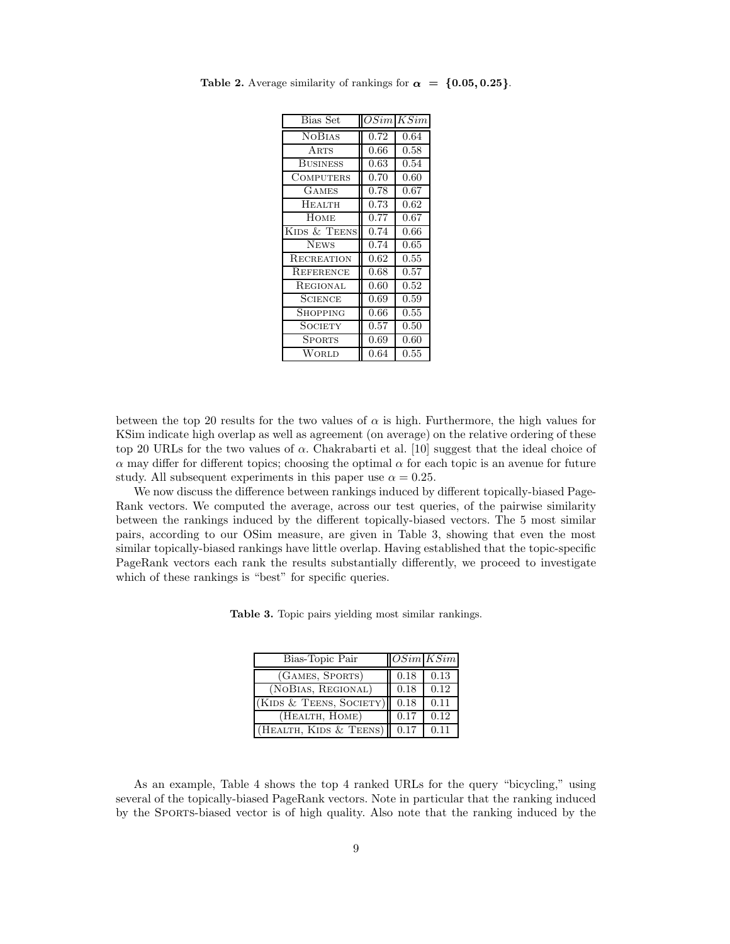| Bias Set        | OSim | KSim     |
|-----------------|------|----------|
| <b>NOBIAS</b>   | 0.72 | 0.64     |
| ARTS            | 0.66 | 0.58     |
| <b>BUSINESS</b> | 0.63 | 0.54     |
| COMPUTERS       | 0.70 | $0.60\,$ |
| GAMES           | 0.78 | 0.67     |
| <b>HEALTH</b>   | 0.73 | $0.62\,$ |
| HOME            | 0.77 | 0.67     |
| KIDS & TEENS    | 0.74 | 0.66     |
| <b>NEWS</b>     | 0.74 | 0.65     |
| RECREATION      | 0.62 | 0.55     |
| REFERENCE       | 0.68 | 0.57     |
| REGIONAL        | 0.60 | 0.52     |
| <b>SCIENCE</b>  | 0.69 | 0.59     |
| Shopping        | 0.66 | 0.55     |
| SOCIETY         | 0.57 | 0.50     |
| <b>SPORTS</b>   | 0.69 | $0.60\,$ |
| WORLD           | 0.64 | 0.55     |

**Table 2.** Average similarity of rankings for  $\alpha = \{0.05, 0.25\}.$ 

between the top 20 results for the two values of  $\alpha$  is high. Furthermore, the high values for KSim indicate high overlap as well as agreement (on average) on the relative ordering of these top 20 URLs for the two values of  $\alpha$ . Chakrabarti et al. [10] suggest that the ideal choice of α may differ for different topics; choosing the optimal  $α$  for each topic is an avenue for future study. All subsequent experiments in this paper use  $\alpha = 0.25$ .

We now discuss the difference between rankings induced by different topically-biased Page-Rank vectors. We computed the average, across our test queries, of the pairwise similarity between the rankings induced by the different topically-biased vectors. The 5 most similar pairs, according to our OSim measure, are given in Table 3, showing that even the most similar topically-biased rankings have little overlap. Having established that the topic-specific PageRank vectors each rank the results substantially differently, we proceed to investigate which of these rankings is "best" for specific queries.

Table 3. Topic pairs yielding most similar rankings.

| Bias-Topic Pair         | $OSim$ KSim |      |
|-------------------------|-------------|------|
| (GAMES, SPORTS)         | 0.18        | 0.13 |
| (NOBIAS, REGIONAL)      | 0.18        | 0.12 |
| (KIDS & TEENS, SOCIETY) | 0.18        | 0.11 |
| (HEALTH, HOME)          | 0.17        | 0.12 |
| (HEALTH, KIDS & TEENS)  | 0.17        |      |

As an example, Table 4 shows the top 4 ranked URLs for the query "bicycling," using several of the topically-biased PageRank vectors. Note in particular that the ranking induced by the Sports-biased vector is of high quality. Also note that the ranking induced by the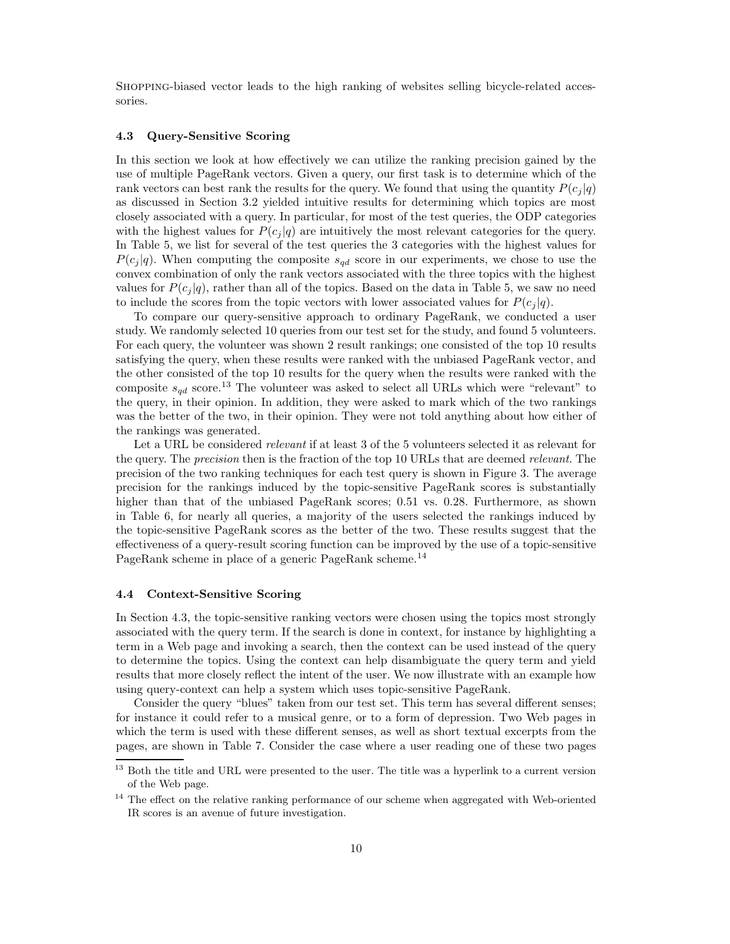Shopping-biased vector leads to the high ranking of websites selling bicycle-related accessories.

#### 4.3 Query-Sensitive Scoring

In this section we look at how effectively we can utilize the ranking precision gained by the use of multiple PageRank vectors. Given a query, our first task is to determine which of the rank vectors can best rank the results for the query. We found that using the quantity  $P(c_i | q)$ as discussed in Section 3.2 yielded intuitive results for determining which topics are most closely associated with a query. In particular, for most of the test queries, the ODP categories with the highest values for  $P(c_i | q)$  are intuitively the most relevant categories for the query. In Table 5, we list for several of the test queries the 3 categories with the highest values for  $P(c_j | q)$ . When computing the composite  $s_{qd}$  score in our experiments, we chose to use the convex combination of only the rank vectors associated with the three topics with the highest values for  $P(c_i | q)$ , rather than all of the topics. Based on the data in Table 5, we saw no need to include the scores from the topic vectors with lower associated values for  $P(c_i | q)$ .

To compare our query-sensitive approach to ordinary PageRank, we conducted a user study. We randomly selected 10 queries from our test set for the study, and found 5 volunteers. For each query, the volunteer was shown 2 result rankings; one consisted of the top 10 results satisfying the query, when these results were ranked with the unbiased PageRank vector, and the other consisted of the top 10 results for the query when the results were ranked with the composite  $s_{ad}$  score.<sup>13</sup> The volunteer was asked to select all URLs which were "relevant" to the query, in their opinion. In addition, they were asked to mark which of the two rankings was the better of the two, in their opinion. They were not told anything about how either of the rankings was generated.

Let a URL be considered *relevant* if at least 3 of the 5 volunteers selected it as relevant for the query. The *precision* then is the fraction of the top 10 URLs that are deemed *relevant*. The precision of the two ranking techniques for each test query is shown in Figure 3. The average precision for the rankings induced by the topic-sensitive PageRank scores is substantially higher than that of the unbiased PageRank scores; 0.51 vs. 0.28. Furthermore, as shown in Table 6, for nearly all queries, a majority of the users selected the rankings induced by the topic-sensitive PageRank scores as the better of the two. These results suggest that the effectiveness of a query-result scoring function can be improved by the use of a topic-sensitive PageRank scheme in place of a generic PageRank scheme.<sup>14</sup>

#### 4.4 Context-Sensitive Scoring

In Section 4.3, the topic-sensitive ranking vectors were chosen using the topics most strongly associated with the query term. If the search is done in context, for instance by highlighting a term in a Web page and invoking a search, then the context can be used instead of the query to determine the topics. Using the context can help disambiguate the query term and yield results that more closely reflect the intent of the user. We now illustrate with an example how using query-context can help a system which uses topic-sensitive PageRank.

Consider the query "blues" taken from our test set. This term has several different senses; for instance it could refer to a musical genre, or to a form of depression. Two Web pages in which the term is used with these different senses, as well as short textual excerpts from the pages, are shown in Table 7. Consider the case where a user reading one of these two pages

<sup>13</sup> Both the title and URL were presented to the user. The title was a hyperlink to a current version of the Web page.

<sup>&</sup>lt;sup>14</sup> The effect on the relative ranking performance of our scheme when aggregated with Web-oriented IR scores is an avenue of future investigation.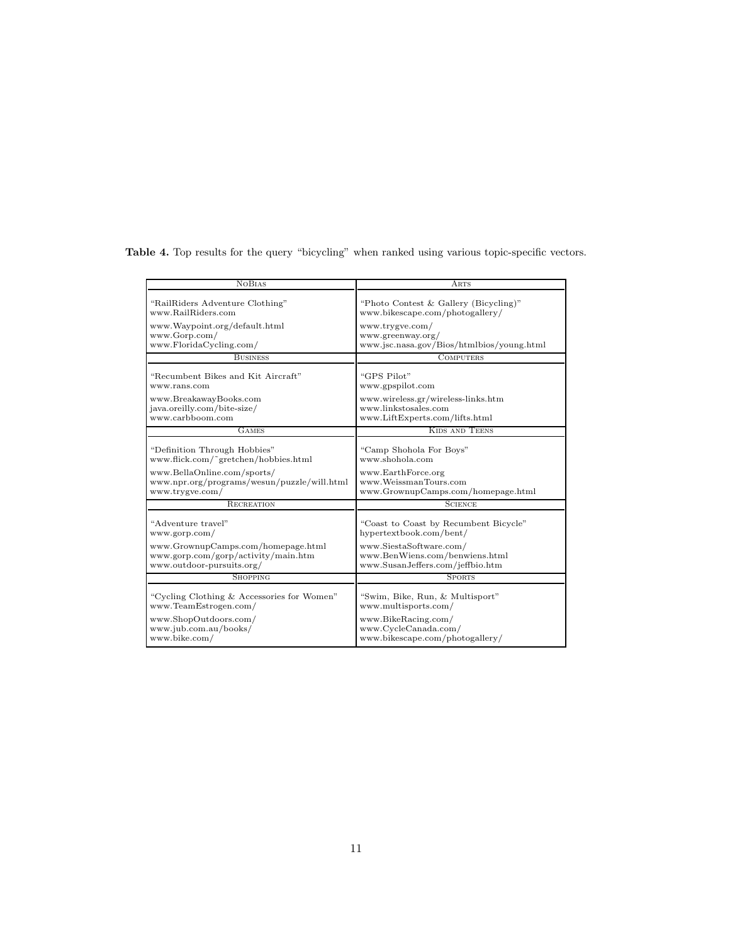| <b>NOBIAS</b>                               | ARTS                                      |
|---------------------------------------------|-------------------------------------------|
| "RailRiders Adventure Clothing"             | "Photo Contest & Gallery (Bicycling)"     |
| www.RailRiders.com                          | www.bikescape.com/photogallery/           |
| www.Waypoint.org/default.html               | www.trygve.com/                           |
| www.Gorp.com/                               | www.greenway.org/                         |
| www.FloridaCycling.com/                     | www.jsc.nasa.gov/Bios/htmlbios/young.html |
| <b>BUSINESS</b>                             | <b>COMPUTERS</b>                          |
| "Recumbent Bikes and Kit Aircraft"          | "GPS Pilot"                               |
| www.rans.com                                | www.gpspilot.com                          |
| www.BreakawayBooks.com                      | www.wireless.gr/wireless-links.htm        |
| java.oreilly.com/bite-size/                 | www.linkstosales.com                      |
| www.carbboom.com                            | www.LiftExperts.com/lifts.html            |
| <b>GAMES</b>                                | <b>KIDS AND TEENS</b>                     |
| "Definition Through Hobbies"                | "Camp Shohola For Boys"                   |
| www.flick.com/~gretchen/hobbies.html        | www.shohola.com                           |
| www.BellaOnline.com/sports/                 | www.EarthForce.org                        |
| www.npr.org/programs/wesun/puzzle/will.html | www.WeissmanTours.com                     |
| www.trygve.com/                             | www.GrownupCamps.com/homepage.html        |
| <b>RECREATION</b>                           | <b>SCIENCE</b>                            |
| "Adventure travel"                          | "Coast to Coast by Recumbent Bicycle"     |
| www.gorp.com/                               | hypertextbook.com/bent/                   |
| www.GrownupCamps.com/homepage.html          | www.SiestaSoftware.com/                   |
| www.gorp.com/gorp/activity/main.htm         | www.BenWiens.com/benwiens.html            |
| www.outdoor-pursuits.org/                   | www.SusanJeffers.com/jeffbio.htm          |
| <b>SHOPPING</b>                             | <b>SPORTS</b>                             |
| "Cycling Clothing & Accessories for Women"  | "Swim, Bike, Run, & Multisport"           |
| www.TeamEstrogen.com/                       | www.multisports.com/                      |
| www.ShopOutdoors.com/                       | www.BikeRacing.com/                       |
| www.jub.com.au/books/                       | www.CycleCanada.com/                      |
| www.bike.com/                               | www.bikescape.com/photogallery/           |

Table 4. Top results for the query "bicycling" when ranked using various topic-specific vectors.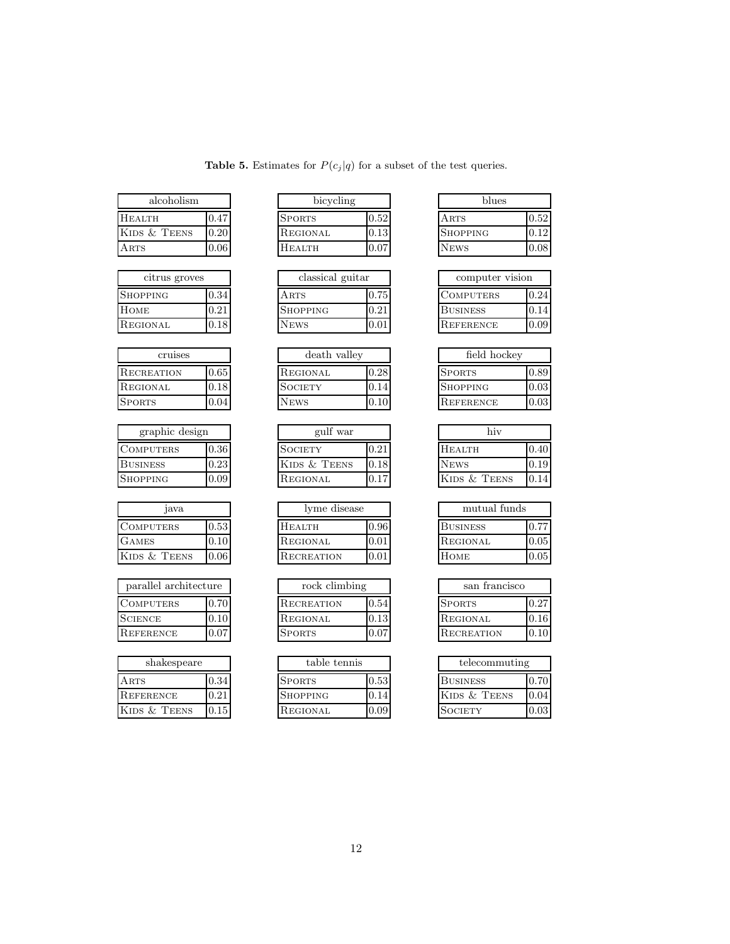Table 5. Estimates for  $P(c_j | q)$  for a subset of the test queries.

| alcoholism     |      |
|----------------|------|
| HEALTH         | 0.47 |
| KIDS $&$ TEENS | 0.20 |
| A rts          | 0.06 |

| citrus groves   |      |
|-----------------|------|
| <b>SHOPPING</b> | 0.34 |
| HOME            | 0.21 |
| REGIONAL        | 0.18 |

| cruises    |      |
|------------|------|
| RECREATION | 0.65 |
| REGIONAL   | 0.18 |
| Sports     | 0.04 |

| graphic design   |      |
|------------------|------|
| <b>COMPUTERS</b> | 0.36 |
| <b>BUSINESS</b>  | 0.23 |
| <b>SHOPPING</b>  | 0.09 |

| <sub>lava</sub> |      |
|-----------------|------|
| COMPUTERS       | 0.53 |
| <b>GAMES</b>    | 0.10 |
| KIDS & TEENS    | 0.06 |

| parallel architecture |      |
|-----------------------|------|
| <b>COMPUTERS</b>      | 0.70 |
| <b>SCIENCE</b>        | 0.10 |
| REFERENCE             | 0.07 |

| shakespeare  |      |
|--------------|------|
| Arts         | 0.34 |
| REFERENCE    | 0.21 |
| KIDS & TEENS | 0.15 |

| bicycling       |          |
|-----------------|----------|
| <b>SPORTS</b>   | $0.52\,$ |
| <b>REGIONAL</b> | 0.13     |
| HEALTH          | 0.07     |

| classical guitar |      |
|------------------|------|
| $_{\rm ARTS}$    | 0.75 |
| <b>SHOPPING</b>  | 0.21 |
| <b>NEWS</b>      | 0.01 |

| death valley    |      |
|-----------------|------|
| <b>REGIONAL</b> | 0.28 |
| <b>SOCIETY</b>  | 0.14 |
| VEWS            | 0.10 |

| gulf war        |      |
|-----------------|------|
| <b>SOCIETY</b>  | 0.21 |
| KIDS & TEENS    | 0.18 |
| <b>REGIONAL</b> | 0.17 |

| lyme disease      |      |
|-------------------|------|
| HEALTH            | 0.96 |
| REGIONAL          | 0.01 |
| <b>RECREATION</b> | 0.01 |

| rock climbing     |      |
|-------------------|------|
| <b>RECREATION</b> | 0.54 |
| <b>REGIONAL</b>   | 0.13 |
| <b>SPORTS</b>     |      |

| table tennis    |      |
|-----------------|------|
| <b>SPORTS</b>   | 0.53 |
| <b>SHOPPING</b> | 0.14 |
| <b>REGIONAL</b> | 0.09 |

| blues       |      |
|-------------|------|
| Arts        | 0.52 |
| SHOPPING    | 0.12 |
| <b>NEWS</b> | 0.08 |

| computer vision  |      |
|------------------|------|
| <b>COMPUTERS</b> | 0.24 |
| <b>BUSINESS</b>  | 0.14 |
| REFERENCE        | 0.09 |

| field hockey     |          |
|------------------|----------|
| <b>SPORTS</b>    | 0.89     |
| <b>SHOPPING</b>  | $0.03\,$ |
| <b>REFERENCE</b> | 0.03     |

| hiv          |      |
|--------------|------|
| Неаітн       | 0.40 |
| News         | 0.19 |
| KIDS & TEENS | 0.14 |

| mutual funds    |      |
|-----------------|------|
| <b>BUSINESS</b> | 0.77 |
| REGIONAL        | 0.05 |
| HOME            | 0.05 |

| san francisco     |      |
|-------------------|------|
| <b>SPORTS</b>     | 0.27 |
| REGIONAL          | 0.16 |
| <b>RECREATION</b> | 0.10 |

| telecommuting   |      |
|-----------------|------|
| <b>BUSINESS</b> | 0.70 |
| KIDS & TEENS    | 0.04 |
| <b>SOCIETY</b>  | 0.03 |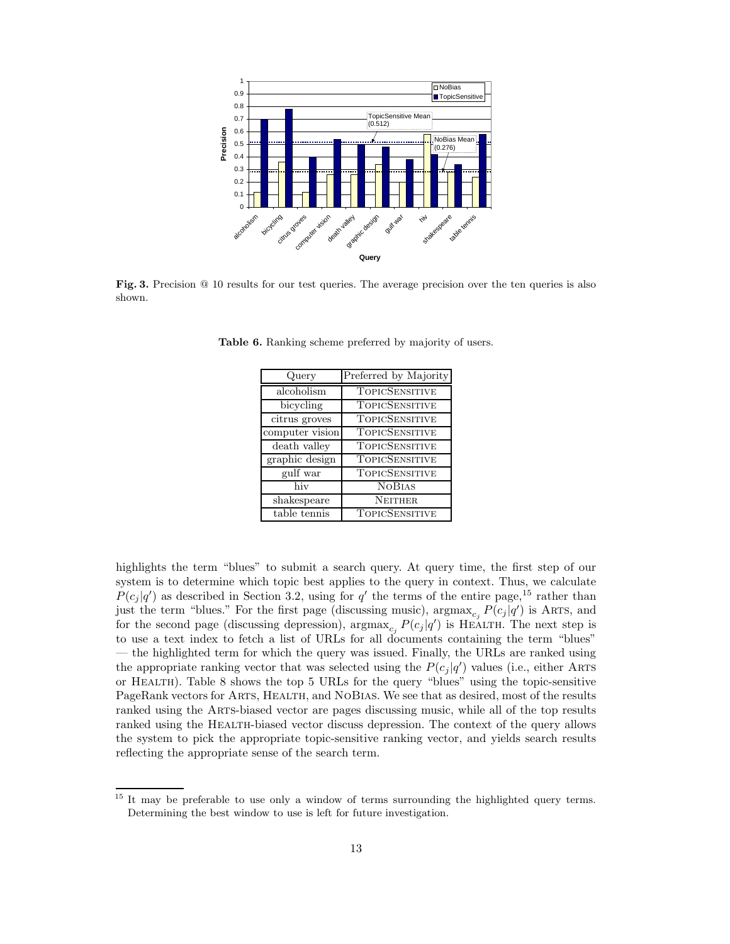

Fig. 3. Precision @ 10 results for our test queries. The average precision over the ten queries is also shown.

| Query           | Preferred by Majority |
|-----------------|-----------------------|
| alcoholism      | <b>TOPICSENSITIVE</b> |
| bicycling       | TOPICSENSITIVE        |
| citrus groves   | TOPICSENSITIVE        |
| computer vision | TOPICSENSITIVE        |
| death valley    | TOPICSENSITIVE        |
| graphic design  | TOPICSENSITIVE        |
| gulf war        | TOPICSENSITIVE        |
| hiv             | <b>NOBIAS</b>         |
| shakespeare     | <b>NEITHER</b>        |
| table tennis    | TOPICSENSITIVE        |

Table 6. Ranking scheme preferred by majority of users.

highlights the term "blues" to submit a search query. At query time, the first step of our system is to determine which topic best applies to the query in context. Thus, we calculate  $P(c_j | q')$  as described in Section 3.2, using for q' the terms of the entire page,<sup>15</sup> rather than just the term "blues." For the first page (discussing music),  $\arg \max_{c_j} P(c_j | q')$  is ARTS, and for the second page (discussing depression),  $\arg \max_{c_j} P(c_j | q')$  is HEALTH. The next step is to use a text index to fetch a list of URLs for all documents containing the term "blues" — the highlighted term for which the query was issued. Finally, the URLs are ranked using the appropriate ranking vector that was selected using the  $P(c_j | q')$  values (i.e., either ARTS or Health). Table 8 shows the top 5 URLs for the query "blues" using the topic-sensitive PageRank vectors for ARTS, HEALTH, and NOBIAS. We see that as desired, most of the results ranked using the Arts-biased vector are pages discussing music, while all of the top results ranked using the HEALTH-biased vector discuss depression. The context of the query allows the system to pick the appropriate topic-sensitive ranking vector, and yields search results reflecting the appropriate sense of the search term.

<sup>&</sup>lt;sup>15</sup> It may be preferable to use only a window of terms surrounding the highlighted query terms. Determining the best window to use is left for future investigation.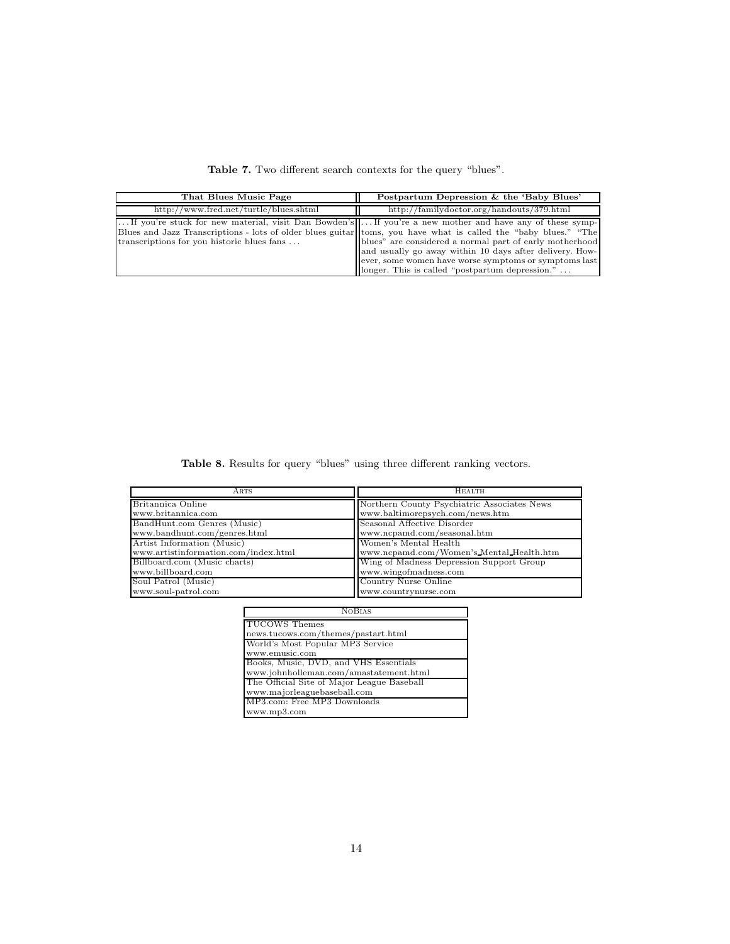|  |  |  |  |  |  | <b>Table 7.</b> Two different search contexts for the query "blues". |  |  |
|--|--|--|--|--|--|----------------------------------------------------------------------|--|--|
|--|--|--|--|--|--|----------------------------------------------------------------------|--|--|

| That Blues Music Page                      | Postpartum Depression & the 'Baby Blues'                                                                                                                                                                                                                                                                                                                                                                                                                               |
|--------------------------------------------|------------------------------------------------------------------------------------------------------------------------------------------------------------------------------------------------------------------------------------------------------------------------------------------------------------------------------------------------------------------------------------------------------------------------------------------------------------------------|
| http://www.fred.net/turtle/blues.shtml     | http://familydoctor.org/handouts/379.html                                                                                                                                                                                                                                                                                                                                                                                                                              |
| transcriptions for you historic blues fans | If you're stuck for new material, visit Dan Bowden's $\ \ldots\ $ you're a new mother and have any of these symp-<br>Blues and Jazz Transcriptions - lots of older blues guitar toms, you have what is called the "baby blues." "The<br>blues" are considered a normal part of early motherhood<br>and usually go away within 10 days after delivery. How-<br>ever, some women have worse symptoms or symptoms last<br>longer. This is called "postpartum depression." |

Table 8. Results for query "blues" using three different ranking vectors.

| ARTS                                 | <b>HEALTH</b>                               |
|--------------------------------------|---------------------------------------------|
| Britannica Online                    | Northern County Psychiatric Associates News |
| www.britannica.com                   | www.baltimorepsych.com/news.htm             |
| BandHunt.com Genres (Music)          | Seasonal Affective Disorder                 |
| www.bandhunt.com/genres.html         | www.ncpamd.com/seasonal.htm                 |
| Artist Information (Music)           | Women's Mental Health                       |
| www.artistinformation.com/index.html | www.ncpamd.com/Women's Mental Health.htm    |
| Billboard.com (Music charts)         | Wing of Madness Depression Support Group    |
| www.billboard.com                    | www.wingofmadness.com                       |
| Soul Patrol (Music)                  | Country Nurse Online                        |
| www.soul-patrol.com                  | www.countrynurse.com                        |

| <b>NOBIAS</b>                              |
|--------------------------------------------|
| <b>TUCOWS</b> Themes                       |
| news.tucows.com/themes/pastart.html        |
| World's Most Popular MP3 Service           |
| www.emusic.com                             |
| Books, Music, DVD, and VHS Essentials      |
| www.johnholleman.com/amastatement.html     |
| The Official Site of Major League Baseball |
| www.majorleaguebaseball.com                |
| MP3.com: Free MP3 Downloads                |
| www.mp3.com                                |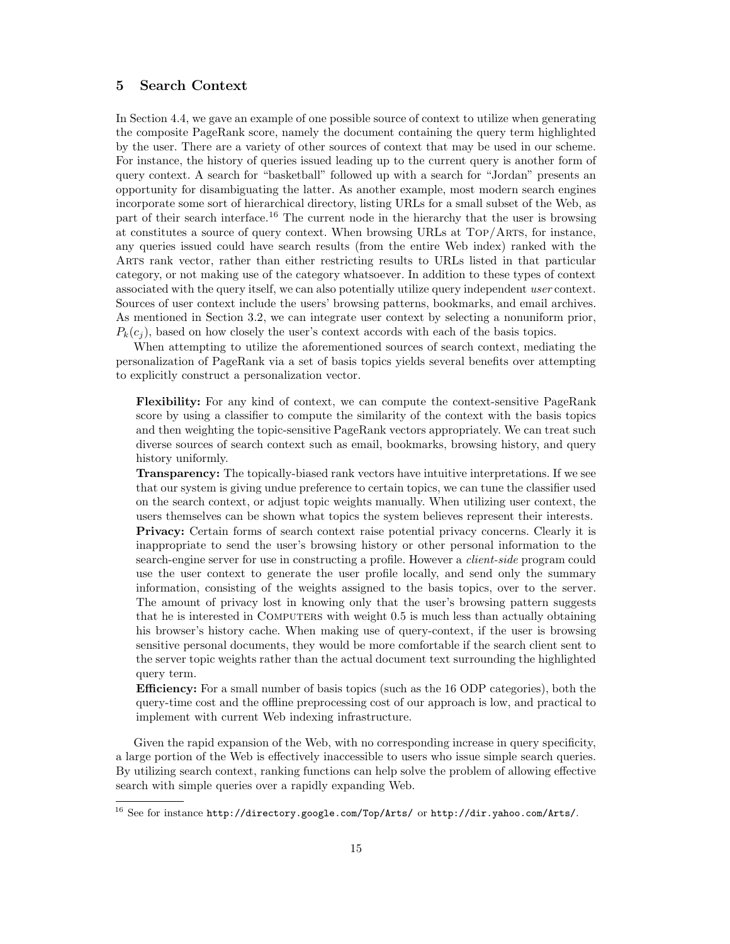# 5 Search Context

In Section 4.4, we gave an example of one possible source of context to utilize when generating the composite PageRank score, namely the document containing the query term highlighted by the user. There are a variety of other sources of context that may be used in our scheme. For instance, the history of queries issued leading up to the current query is another form of query context. A search for "basketball" followed up with a search for "Jordan" presents an opportunity for disambiguating the latter. As another example, most modern search engines incorporate some sort of hierarchical directory, listing URLs for a small subset of the Web, as part of their search interface.<sup>16</sup> The current node in the hierarchy that the user is browsing at constitutes a source of query context. When browsing URLs at Top/Arts, for instance, any queries issued could have search results (from the entire Web index) ranked with the Arts rank vector, rather than either restricting results to URLs listed in that particular category, or not making use of the category whatsoever. In addition to these types of context associated with the query itself, we can also potentially utilize query independent user context. Sources of user context include the users' browsing patterns, bookmarks, and email archives. As mentioned in Section 3.2, we can integrate user context by selecting a nonuniform prior,  $P_k(c_i)$ , based on how closely the user's context accords with each of the basis topics.

When attempting to utilize the aforementioned sources of search context, mediating the personalization of PageRank via a set of basis topics yields several benefits over attempting to explicitly construct a personalization vector.

Flexibility: For any kind of context, we can compute the context-sensitive PageRank score by using a classifier to compute the similarity of the context with the basis topics and then weighting the topic-sensitive PageRank vectors appropriately. We can treat such diverse sources of search context such as email, bookmarks, browsing history, and query history uniformly.

Transparency: The topically-biased rank vectors have intuitive interpretations. If we see that our system is giving undue preference to certain topics, we can tune the classifier used on the search context, or adjust topic weights manually. When utilizing user context, the users themselves can be shown what topics the system believes represent their interests. Privacy: Certain forms of search context raise potential privacy concerns. Clearly it is inappropriate to send the user's browsing history or other personal information to the search-engine server for use in constructing a profile. However a *client-side* program could use the user context to generate the user profile locally, and send only the summary information, consisting of the weights assigned to the basis topics, over to the server. The amount of privacy lost in knowing only that the user's browsing pattern suggests that he is interested in COMPUTERS with weight 0.5 is much less than actually obtaining his browser's history cache. When making use of query-context, if the user is browsing sensitive personal documents, they would be more comfortable if the search client sent to the server topic weights rather than the actual document text surrounding the highlighted query term.

Efficiency: For a small number of basis topics (such as the 16 ODP categories), both the query-time cost and the offline preprocessing cost of our approach is low, and practical to implement with current Web indexing infrastructure.

Given the rapid expansion of the Web, with no corresponding increase in query specificity, a large portion of the Web is effectively inaccessible to users who issue simple search queries. By utilizing search context, ranking functions can help solve the problem of allowing effective search with simple queries over a rapidly expanding Web.

<sup>16</sup> See for instance http://directory.google.com/Top/Arts/ or http://dir.yahoo.com/Arts/.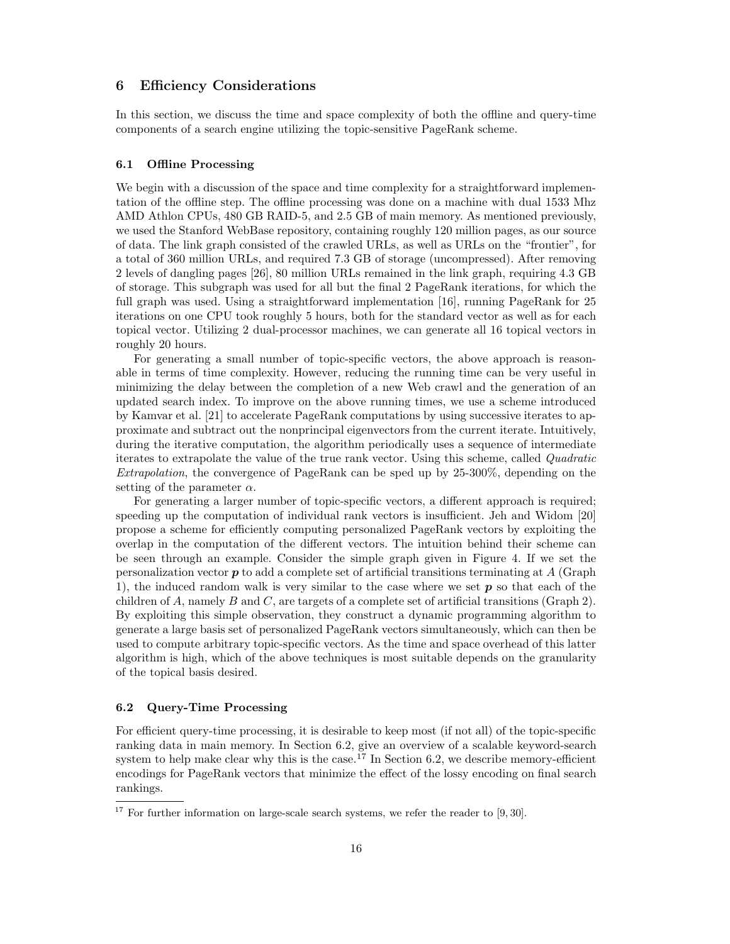# 6 Efficiency Considerations

In this section, we discuss the time and space complexity of both the offline and query-time components of a search engine utilizing the topic-sensitive PageRank scheme.

#### 6.1 Offline Processing

We begin with a discussion of the space and time complexity for a straightforward implementation of the offline step. The offline processing was done on a machine with dual 1533 Mhz AMD Athlon CPUs, 480 GB RAID-5, and 2.5 GB of main memory. As mentioned previously, we used the Stanford WebBase repository, containing roughly 120 million pages, as our source of data. The link graph consisted of the crawled URLs, as well as URLs on the "frontier", for a total of 360 million URLs, and required 7.3 GB of storage (uncompressed). After removing 2 levels of dangling pages [26], 80 million URLs remained in the link graph, requiring 4.3 GB of storage. This subgraph was used for all but the final 2 PageRank iterations, for which the full graph was used. Using a straightforward implementation [16], running PageRank for 25 iterations on one CPU took roughly 5 hours, both for the standard vector as well as for each topical vector. Utilizing 2 dual-processor machines, we can generate all 16 topical vectors in roughly 20 hours.

For generating a small number of topic-specific vectors, the above approach is reasonable in terms of time complexity. However, reducing the running time can be very useful in minimizing the delay between the completion of a new Web crawl and the generation of an updated search index. To improve on the above running times, we use a scheme introduced by Kamvar et al. [21] to accelerate PageRank computations by using successive iterates to approximate and subtract out the nonprincipal eigenvectors from the current iterate. Intuitively, during the iterative computation, the algorithm periodically uses a sequence of intermediate iterates to extrapolate the value of the true rank vector. Using this scheme, called Quadratic Extrapolation, the convergence of PageRank can be sped up by 25-300%, depending on the setting of the parameter  $\alpha$ .

For generating a larger number of topic-specific vectors, a different approach is required; speeding up the computation of individual rank vectors is insufficient. Jeh and Widom [20] propose a scheme for efficiently computing personalized PageRank vectors by exploiting the overlap in the computation of the different vectors. The intuition behind their scheme can be seen through an example. Consider the simple graph given in Figure 4. If we set the personalization vector  $p$  to add a complete set of artificial transitions terminating at A (Graph 1), the induced random walk is very similar to the case where we set  $p$  so that each of the children of A, namely B and C, are targets of a complete set of artificial transitions (Graph 2). By exploiting this simple observation, they construct a dynamic programming algorithm to generate a large basis set of personalized PageRank vectors simultaneously, which can then be used to compute arbitrary topic-specific vectors. As the time and space overhead of this latter algorithm is high, which of the above techniques is most suitable depends on the granularity of the topical basis desired.

#### 6.2 Query-Time Processing

For efficient query-time processing, it is desirable to keep most (if not all) of the topic-specific ranking data in main memory. In Section 6.2, give an overview of a scalable keyword-search system to help make clear why this is the case.<sup>17</sup> In Section 6.2, we describe memory-efficient encodings for PageRank vectors that minimize the effect of the lossy encoding on final search rankings.

 $17$  For further information on large-scale search systems, we refer the reader to [9, 30].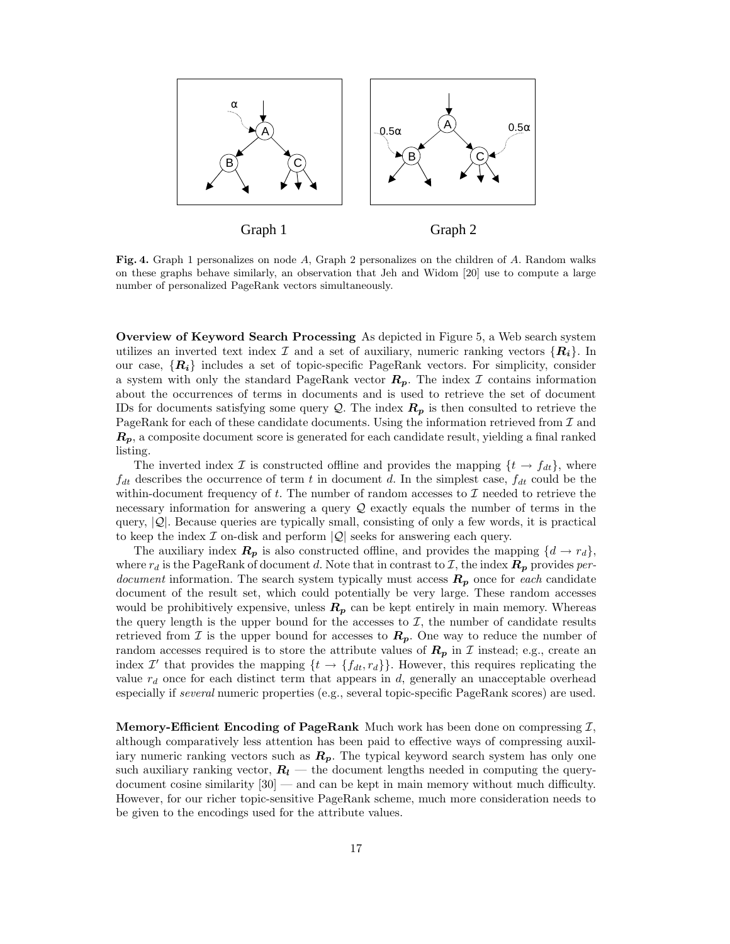

Fig. 4. Graph 1 personalizes on node A, Graph 2 personalizes on the children of A. Random walks on these graphs behave similarly, an observation that Jeh and Widom [20] use to compute a large number of personalized PageRank vectors simultaneously.

Overview of Keyword Search Processing As depicted in Figure 5, a Web search system utilizes an inverted text index  $\mathcal I$  and a set of auxiliary, numeric ranking vectors  $\{R_i\}$ . In our case,  $\{R_i\}$  includes a set of topic-specific PageRank vectors. For simplicity, consider a system with only the standard PageRank vector  $R_p$ . The index I contains information about the occurrences of terms in documents and is used to retrieve the set of document IDs for documents satisfying some query  $\mathcal{Q}$ . The index  $\mathbb{R}_p$  is then consulted to retrieve the PageRank for each of these candidate documents. Using the information retrieved from  $\mathcal I$  and  $R_p$ , a composite document score is generated for each candidate result, yielding a final ranked listing.

The inverted index  $\mathcal I$  is constructed offline and provides the mapping  $\{t \to f_{dt}\}\$ , where  $f_{dt}$  describes the occurrence of term t in document d. In the simplest case,  $f_{dt}$  could be the within-document frequency of t. The number of random accesses to  $\mathcal I$  needed to retrieve the necessary information for answering a query  $\mathcal Q$  exactly equals the number of terms in the query,  $|Q|$ . Because queries are typically small, consisting of only a few words, it is practical to keep the index  $\mathcal I$  on-disk and perform  $|Q|$  seeks for answering each query.

The auxiliary index  $\mathbf{R_p}$  is also constructed offline, and provides the mapping  $\{d \rightarrow r_d\}$ , where  $r_d$  is the PageRank of document d. Note that in contrast to I, the index  $\mathbf{R}_p$  provides per*document* information. The search system typically must access  $R_p$  once for each candidate document of the result set, which could potentially be very large. These random accesses would be prohibitively expensive, unless  $R_p$  can be kept entirely in main memory. Whereas the query length is the upper bound for the accesses to  $\mathcal{I}$ , the number of candidate results retrieved from  $\mathcal I$  is the upper bound for accesses to  $\mathbb{R}_p$ . One way to reduce the number of random accesses required is to store the attribute values of  $R_p$  in I instead; e.g., create an index  $\mathcal{I}'$  that provides the mapping  $\{t \to \{f_{dt}, r_d\}\}\.$  However, this requires replicating the value  $r_d$  once for each distinct term that appears in d, generally an unacceptable overhead especially if several numeric properties (e.g., several topic-specific PageRank scores) are used.

**Memory-Efficient Encoding of PageRank** Much work has been done on compressing  $I$ , although comparatively less attention has been paid to effective ways of compressing auxiliary numeric ranking vectors such as  $R_p$ . The typical keyword search system has only one such auxiliary ranking vector,  $R_l$  — the document lengths needed in computing the querydocument cosine similarity [30] — and can be kept in main memory without much difficulty. However, for our richer topic-sensitive PageRank scheme, much more consideration needs to be given to the encodings used for the attribute values.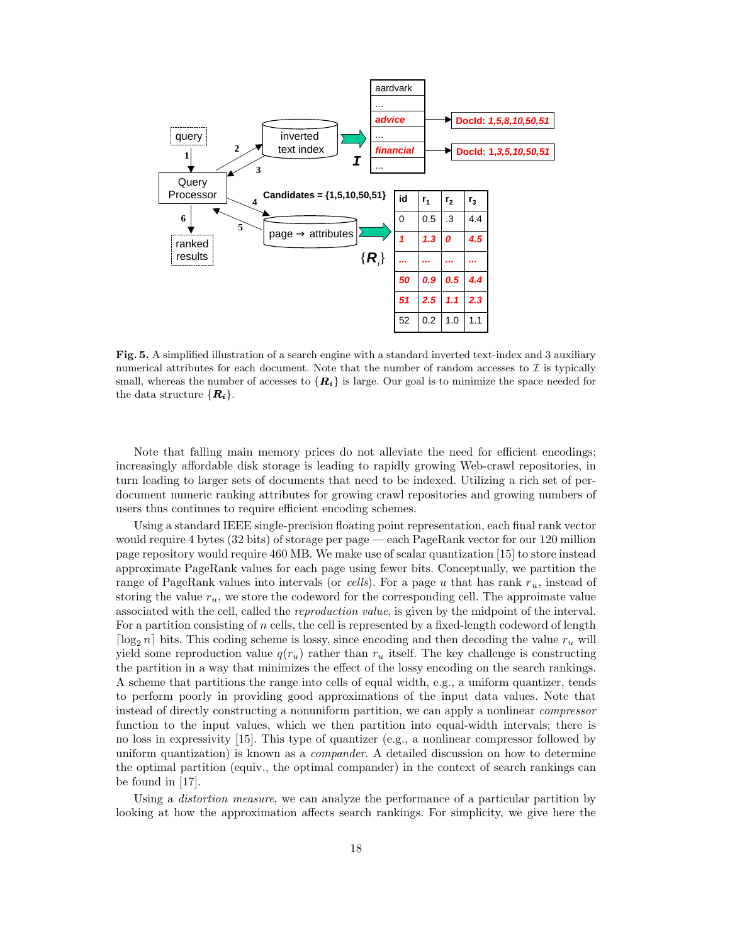

Fig. 5. A simplified illustration of a search engine with a standard inverted text-index and 3 auxiliary numerical attributes for each document. Note that the number of random accesses to  $\mathcal I$  is typically small, whereas the number of accesses to  $\{R_i\}$  is large. Our goal is to minimize the space needed for the data structure  $\{R_i\}.$ 

Note that falling main memory prices do not alleviate the need for efficient encodings; increasingly affordable disk storage is leading to rapidly growing Web-crawl repositories, in turn leading to larger sets of documents that need to be indexed. Utilizing a rich set of perdocument numeric ranking attributes for growing crawl repositories and growing numbers of users thus continues to require efficient encoding schemes.

Using a standard IEEE single-precision floating point representation, each final rank vector would require 4 bytes (32 bits) of storage per page — each PageRank vector for our 120 million page repository would require 460 MB. We make use of scalar quantization [15] to store instead approximate PageRank values for each page using fewer bits. Conceptually, we partition the range of PageRank values into intervals (or cells). For a page u that has rank  $r_u$ , instead of storing the value  $r_u$ , we store the codeword for the corresponding cell. The approimate value associated with the cell, called the reproduction value, is given by the midpoint of the interval. For a partition consisting of n cells, the cell is represented by a fixed-length codeword of length  $\lceil \log_2 n \rceil$  bits. This coding scheme is lossy, since encoding and then decoding the value  $r_u$  will yield some reproduction value  $q(r_u)$  rather than  $r_u$  itself. The key challenge is constructing the partition in a way that minimizes the effect of the lossy encoding on the search rankings. A scheme that partitions the range into cells of equal width, e.g., a uniform quantizer, tends to perform poorly in providing good approximations of the input data values. Note that instead of directly constructing a nonuniform partition, we can apply a nonlinear compressor function to the input values, which we then partition into equal-width intervals; there is no loss in expressivity [15]. This type of quantizer (e.g., a nonlinear compressor followed by uniform quantization) is known as a compander. A detailed discussion on how to determine the optimal partition (equiv., the optimal compander) in the context of search rankings can be found in [17].

Using a *distortion measure*, we can analyze the performance of a particular partition by looking at how the approximation affects search rankings. For simplicity, we give here the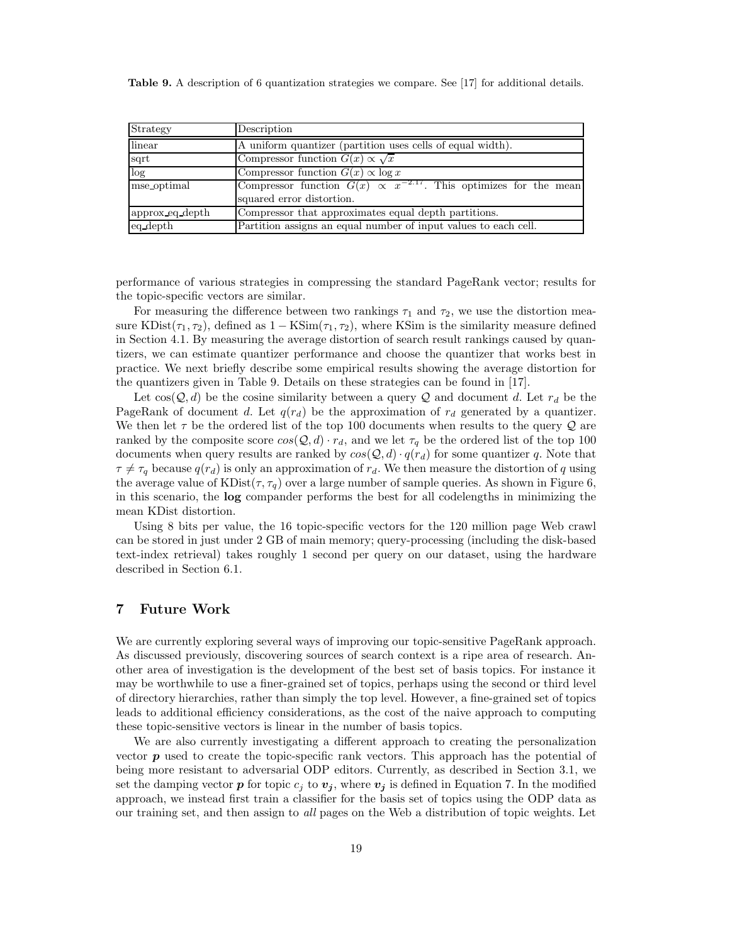Table 9. A description of 6 quantization strategies we compare. See [17] for additional details.

| Strategy        | Description                                                                                             |
|-----------------|---------------------------------------------------------------------------------------------------------|
| linear          | A uniform quantizer (partition uses cells of equal width).                                              |
| $sqrt{2}$       | Compressor function $G(x) \propto \sqrt{x}$                                                             |
| log             | Compressor function $G(x) \propto \log x$                                                               |
| mse_optimal     | Compressor function $G(x) \propto x^{-2.17}$ . This optimizes for the mean<br>squared error distortion. |
|                 |                                                                                                         |
| approx eq depth | Compressor that approximates equal depth partitions.                                                    |
| eq depth        | Partition assigns an equal number of input values to each cell.                                         |

performance of various strategies in compressing the standard PageRank vector; results for the topic-specific vectors are similar.

For measuring the difference between two rankings  $\tau_1$  and  $\tau_2$ , we use the distortion measure KDist( $\tau_1, \tau_2$ ), defined as  $1 - \text{KSim}(\tau_1, \tau_2)$ , where KSim is the similarity measure defined in Section 4.1. By measuring the average distortion of search result rankings caused by quantizers, we can estimate quantizer performance and choose the quantizer that works best in practice. We next briefly describe some empirical results showing the average distortion for the quantizers given in Table 9. Details on these strategies can be found in [17].

Let  $cos(Q, d)$  be the cosine similarity between a query Q and document d. Let  $r_d$  be the PageRank of document d. Let  $q(r_d)$  be the approximation of  $r_d$  generated by a quantizer. We then let  $\tau$  be the ordered list of the top 100 documents when results to the query  $\mathcal Q$  are ranked by the composite score  $\cos(Q, d) \cdot r_d$ , and we let  $\tau_q$  be the ordered list of the top 100 documents when query results are ranked by  $cos(Q, d) \cdot q(r_d)$  for some quantizer q. Note that  $\tau \neq \tau_q$  because  $q(r_d)$  is only an approximation of  $r_d$ . We then measure the distortion of q using the average value of  $KDist(\tau, \tau_q)$  over a large number of sample queries. As shown in Figure 6, in this scenario, the log compander performs the best for all codelengths in minimizing the mean KDist distortion.

Using 8 bits per value, the 16 topic-specific vectors for the 120 million page Web crawl can be stored in just under 2 GB of main memory; query-processing (including the disk-based text-index retrieval) takes roughly 1 second per query on our dataset, using the hardware described in Section 6.1.

## 7 Future Work

We are currently exploring several ways of improving our topic-sensitive PageRank approach. As discussed previously, discovering sources of search context is a ripe area of research. Another area of investigation is the development of the best set of basis topics. For instance it may be worthwhile to use a finer-grained set of topics, perhaps using the second or third level of directory hierarchies, rather than simply the top level. However, a fine-grained set of topics leads to additional efficiency considerations, as the cost of the naive approach to computing these topic-sensitive vectors is linear in the number of basis topics.

We are also currently investigating a different approach to creating the personalization vector  $p$  used to create the topic-specific rank vectors. This approach has the potential of being more resistant to adversarial ODP editors. Currently, as described in Section 3.1, we set the damping vector **p** for topic  $c_j$  to  $v_j$ , where  $v_j$  is defined in Equation 7. In the modified approach, we instead first train a classifier for the basis set of topics using the ODP data as our training set, and then assign to all pages on the Web a distribution of topic weights. Let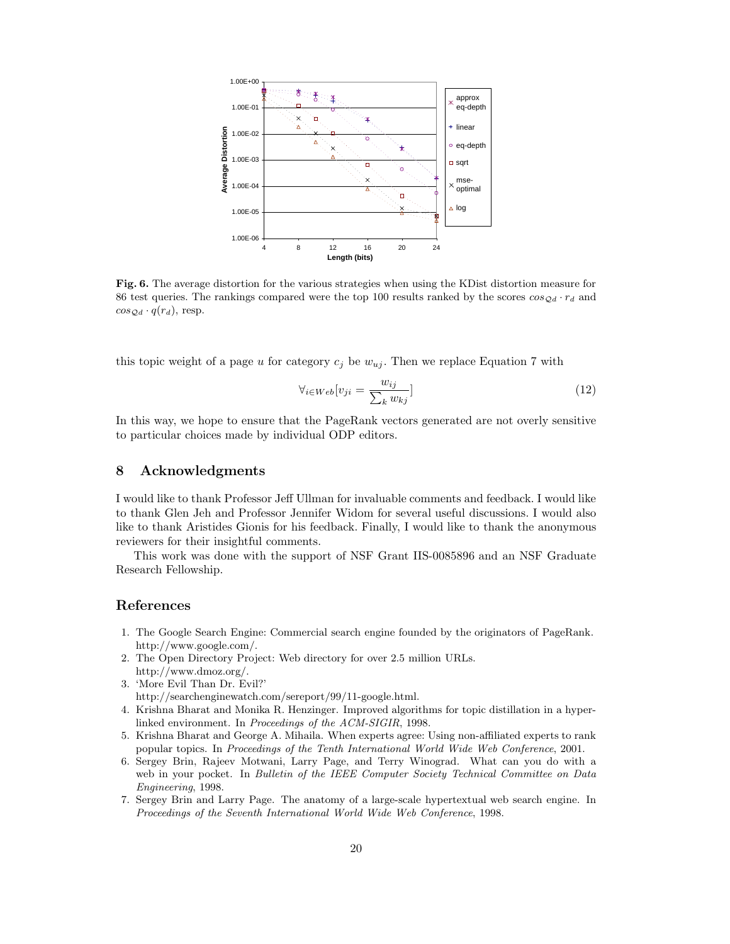

Fig. 6. The average distortion for the various strategies when using the KDist distortion measure for 86 test queries. The rankings compared were the top 100 results ranked by the scores  $\cos_{\mathcal{Q}d} \cdot r_d$  and  $\cos \varphi_d \cdot q(r_d)$ , resp.

this topic weight of a page u for category  $c_j$  be  $w_{uj}$ . Then we replace Equation 7 with

$$
\forall_{i \in Web} [v_{ji} = \frac{w_{ij}}{\sum_{k} w_{kj}}]
$$
\n(12)

In this way, we hope to ensure that the PageRank vectors generated are not overly sensitive to particular choices made by individual ODP editors.

## 8 Acknowledgments

I would like to thank Professor Jeff Ullman for invaluable comments and feedback. I would like to thank Glen Jeh and Professor Jennifer Widom for several useful discussions. I would also like to thank Aristides Gionis for his feedback. Finally, I would like to thank the anonymous reviewers for their insightful comments.

This work was done with the support of NSF Grant IIS-0085896 and an NSF Graduate Research Fellowship.

## References

- 1. The Google Search Engine: Commercial search engine founded by the originators of PageRank. http://www.google.com/.
- 2. The Open Directory Project: Web directory for over 2.5 million URLs. http://www.dmoz.org/.
- 3. 'More Evil Than Dr. Evil?'

http://searchenginewatch.com/sereport/99/11-google.html.

- 4. Krishna Bharat and Monika R. Henzinger. Improved algorithms for topic distillation in a hyperlinked environment. In Proceedings of the ACM-SIGIR, 1998.
- 5. Krishna Bharat and George A. Mihaila. When experts agree: Using non-affiliated experts to rank popular topics. In Proceedings of the Tenth International World Wide Web Conference, 2001.
- 6. Sergey Brin, Rajeev Motwani, Larry Page, and Terry Winograd. What can you do with a web in your pocket. In Bulletin of the IEEE Computer Society Technical Committee on Data Engineering, 1998.
- 7. Sergey Brin and Larry Page. The anatomy of a large-scale hypertextual web search engine. In Proceedings of the Seventh International World Wide Web Conference, 1998.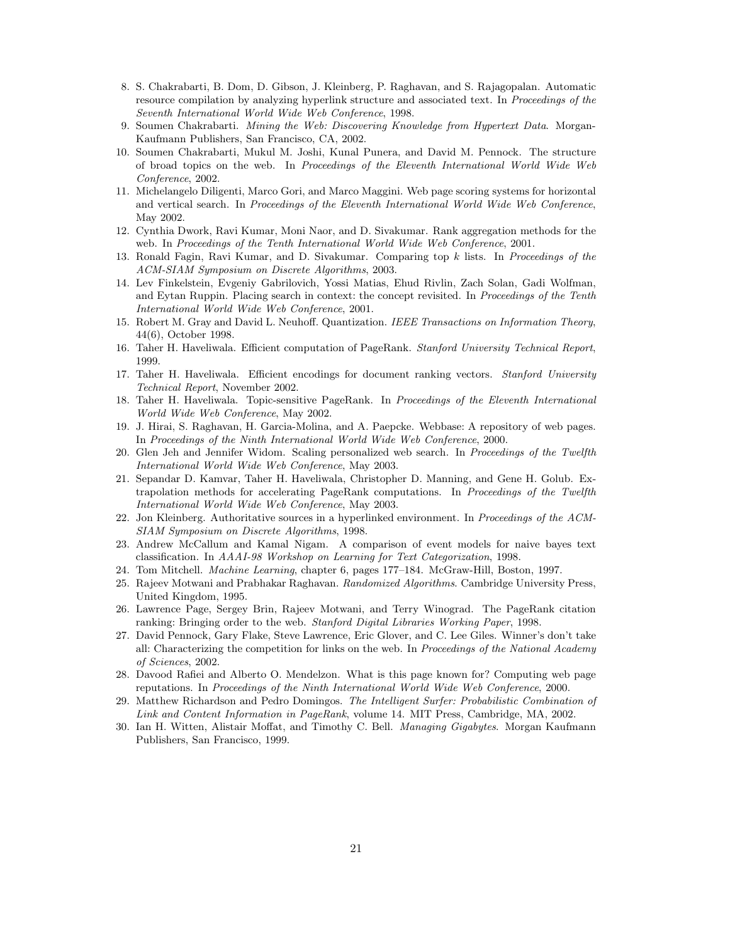- 8. S. Chakrabarti, B. Dom, D. Gibson, J. Kleinberg, P. Raghavan, and S. Rajagopalan. Automatic resource compilation by analyzing hyperlink structure and associated text. In Proceedings of the Seventh International World Wide Web Conference, 1998.
- 9. Soumen Chakrabarti. Mining the Web: Discovering Knowledge from Hypertext Data. Morgan-Kaufmann Publishers, San Francisco, CA, 2002.
- 10. Soumen Chakrabarti, Mukul M. Joshi, Kunal Punera, and David M. Pennock. The structure of broad topics on the web. In Proceedings of the Eleventh International World Wide Web Conference, 2002.
- 11. Michelangelo Diligenti, Marco Gori, and Marco Maggini. Web page scoring systems for horizontal and vertical search. In Proceedings of the Eleventh International World Wide Web Conference, May 2002.
- 12. Cynthia Dwork, Ravi Kumar, Moni Naor, and D. Sivakumar. Rank aggregation methods for the web. In Proceedings of the Tenth International World Wide Web Conference, 2001.
- 13. Ronald Fagin, Ravi Kumar, and D. Sivakumar. Comparing top k lists. In Proceedings of the ACM-SIAM Symposium on Discrete Algorithms, 2003.
- 14. Lev Finkelstein, Evgeniy Gabrilovich, Yossi Matias, Ehud Rivlin, Zach Solan, Gadi Wolfman, and Eytan Ruppin. Placing search in context: the concept revisited. In Proceedings of the Tenth International World Wide Web Conference, 2001.
- 15. Robert M. Gray and David L. Neuhoff. Quantization. IEEE Transactions on Information Theory, 44(6), October 1998.
- 16. Taher H. Haveliwala. Efficient computation of PageRank. Stanford University Technical Report, 1999.
- 17. Taher H. Haveliwala. Efficient encodings for document ranking vectors. Stanford University Technical Report, November 2002.
- 18. Taher H. Haveliwala. Topic-sensitive PageRank. In Proceedings of the Eleventh International World Wide Web Conference, May 2002.
- 19. J. Hirai, S. Raghavan, H. Garcia-Molina, and A. Paepcke. Webbase: A repository of web pages. In Proceedings of the Ninth International World Wide Web Conference, 2000.
- 20. Glen Jeh and Jennifer Widom. Scaling personalized web search. In Proceedings of the Twelfth International World Wide Web Conference, May 2003.
- 21. Sepandar D. Kamvar, Taher H. Haveliwala, Christopher D. Manning, and Gene H. Golub. Extrapolation methods for accelerating PageRank computations. In Proceedings of the Twelfth International World Wide Web Conference, May 2003.
- 22. Jon Kleinberg. Authoritative sources in a hyperlinked environment. In Proceedings of the ACM-SIAM Symposium on Discrete Algorithms, 1998.
- 23. Andrew McCallum and Kamal Nigam. A comparison of event models for naive bayes text classification. In AAAI-98 Workshop on Learning for Text Categorization, 1998.
- 24. Tom Mitchell. Machine Learning, chapter 6, pages 177–184. McGraw-Hill, Boston, 1997.
- 25. Rajeev Motwani and Prabhakar Raghavan. Randomized Algorithms. Cambridge University Press, United Kingdom, 1995.
- 26. Lawrence Page, Sergey Brin, Rajeev Motwani, and Terry Winograd. The PageRank citation ranking: Bringing order to the web. Stanford Digital Libraries Working Paper, 1998.
- 27. David Pennock, Gary Flake, Steve Lawrence, Eric Glover, and C. Lee Giles. Winner's don't take all: Characterizing the competition for links on the web. In Proceedings of the National Academy of Sciences, 2002.
- 28. Davood Rafiei and Alberto O. Mendelzon. What is this page known for? Computing web page reputations. In Proceedings of the Ninth International World Wide Web Conference, 2000.
- 29. Matthew Richardson and Pedro Domingos. The Intelligent Surfer: Probabilistic Combination of Link and Content Information in PageRank, volume 14. MIT Press, Cambridge, MA, 2002.
- 30. Ian H. Witten, Alistair Moffat, and Timothy C. Bell. Managing Gigabytes. Morgan Kaufmann Publishers, San Francisco, 1999.